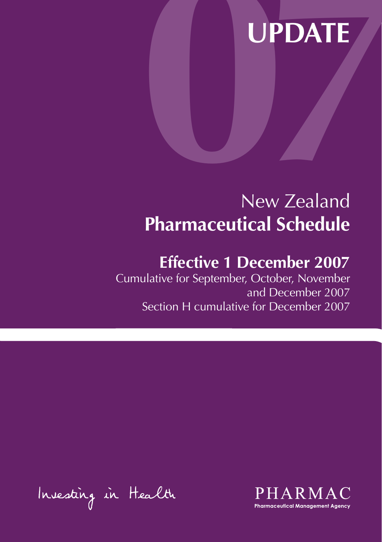# UPDATE New Zealand **Pharmaceutical Schedule**

# **Effective 1 December 2007**

Cumulative for September, October, November and December 2007 Section H cumulative for December 2007

Investing in Health

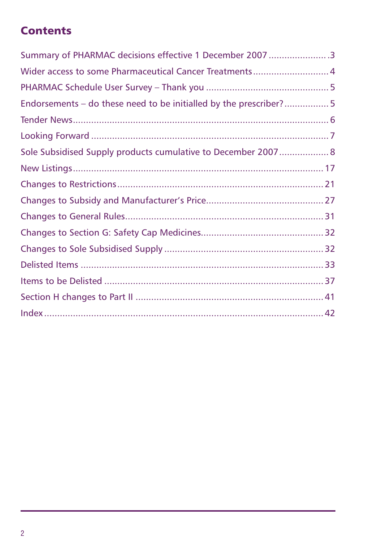# **Contents**

| Summary of PHARMAC decisions effective 1 December 2007 3           |  |
|--------------------------------------------------------------------|--|
| Wider access to some Pharmaceutical Cancer Treatments 4            |  |
|                                                                    |  |
| Endorsements - do these need to be initialled by the prescriber? 5 |  |
|                                                                    |  |
|                                                                    |  |
| Sole Subsidised Supply products cumulative to December 2007 8      |  |
|                                                                    |  |
|                                                                    |  |
|                                                                    |  |
|                                                                    |  |
|                                                                    |  |
|                                                                    |  |
|                                                                    |  |
|                                                                    |  |
|                                                                    |  |
|                                                                    |  |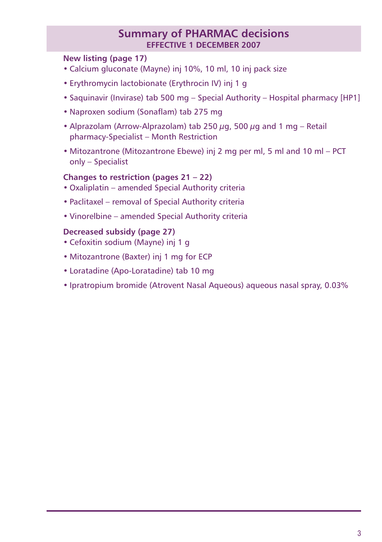## **Summary of PHARMAC decisions effective 1 december 2007**

## **New listing (page 17)**

- Calcium gluconate (Mayne) inj 10%, 10 ml, 10 inj pack size
- Erythromycin lactobionate (Erythrocin IV) inj 1 g
- Saquinavir (Invirase) tab 500 mg Special Authority Hospital pharmacy [HP1]
- Naproxen sodium (Sonaflam) tab 275 mg
- Alprazolam (Arrow-Alprazolam) tab 250  $\mu$ g, 500  $\mu$ g and 1 mg Retail pharmacy-Specialist – Month Restriction
- Mitozantrone (Mitozantrone Ebewe) inj 2 mg per ml, 5 ml and 10 ml PCT only – Specialist

## **Changes to restriction (pages 21 – 22)**

- Oxaliplatin amended Special Authority criteria
- Paclitaxel removal of Special Authority criteria
- Vinorelbine amended Special Authority criteria

### **Decreased subsidy (page 27)**

- Cefoxitin sodium (Mayne) inj 1 g
- Mitozantrone (Baxter) inj 1 mg for ECP
- Loratadine (Apo-Loratadine) tab 10 mg
- Ipratropium bromide (Atrovent Nasal Aqueous) aqueous nasal spray, 0.03%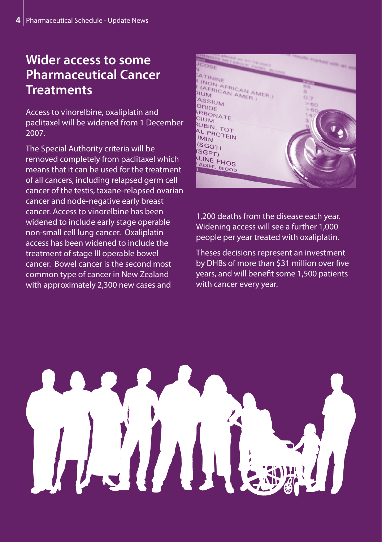# **Wider access to some Pharmaceutical Cancer Treatments**

Access to vinorelbine, oxaliplatin and paclitaxel will be widened from 1 December 2007.

The Special Authority criteria will be removed completely from paclitaxel which means that it can be used for the treatment of all cancers, including relapsed germ cell cancer of the testis, taxane-relapsed ovarian cancer and node-negative early breast cancer. Access to vinorelbine has been widened to include early stage operable non-small cell lung cancer. Oxaliplatin access has been widened to include the treatment of stage III operable bowel cancer. Bowel cancer is the second most common type of cancer in New Zealand with approximately 2,300 new cases and

|                                                                                                                 | No. of Concession, Name |
|-----------------------------------------------------------------------------------------------------------------|-------------------------|
| No. of the Company of the Company of the Company of the Company of the Company of the Company of the Company of | PERSONAL PROPERTY AND   |
|                                                                                                                 |                         |
|                                                                                                                 |                         |
|                                                                                                                 |                         |
| ATININE                                                                                                         |                         |
| I (NON-AFRICAN AMER.)<br><b>(AFRICAN AMER.)</b>                                                                 | 00                      |
|                                                                                                                 | 取                       |
|                                                                                                                 | 0.7                     |
| ASSIUM                                                                                                          |                         |
| ORIDE                                                                                                           | >60                     |
|                                                                                                                 | > 00                    |
| ARBONATE                                                                                                        | 147                     |
| <b>CIUM</b>                                                                                                     | 3                       |
| RUBIN, TOT                                                                                                      | a                       |
|                                                                                                                 |                         |
| AL PROTEIN<br><b>UMIN</b>                                                                                       |                         |
|                                                                                                                 |                         |
| (SGOT)                                                                                                          |                         |
| (SGPT)                                                                                                          |                         |
|                                                                                                                 |                         |
| <b>ALINE PHOS</b>                                                                                               |                         |
| ADIFF, BLOOD                                                                                                    |                         |
|                                                                                                                 |                         |
|                                                                                                                 |                         |
|                                                                                                                 |                         |
|                                                                                                                 |                         |

1,200 deaths from the disease each year. Widening access will see a further 1,000 people per year treated with oxaliplatin.

Theses decisions represent an investment by DHBs of more than \$31 million over five years, and will benefit some 1,500 patients with cancer every year.

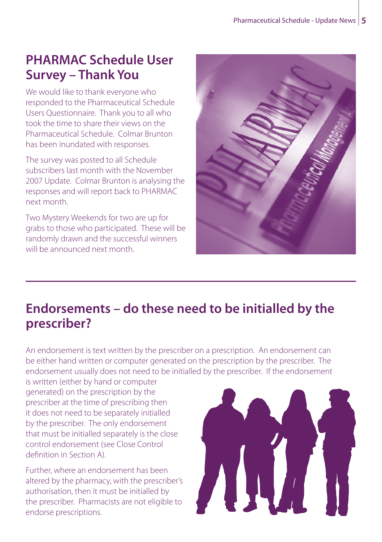# **PHARMAC Schedule User Survey – Thank You**

We would like to thank everyone who responded to the Pharmaceutical Schedule Users Questionnaire. Thank you to all who took the time to share their views on the Pharmaceutical Schedule. Colmar Brunton has been inundated with responses.

The survey was posted to all Schedule subscribers last month with the November 2007 Update. Colmar Brunton is analysing the responses and will report back to PHARMAC next month.

Two Mystery Weekends for two are up for grabs to those who participated. These will be randomly drawn and the successful winners will be announced next month.



# **Endorsements – do these need to be initialled by the prescriber?**

An endorsement is text written by the prescriber on a prescription. An endorsement can be either hand written or computer generated on the prescription by the prescriber. The endorsement usually does not need to be initialled by the prescriber. If the endorsement

is written (either by hand or computer generated) on the prescription by the prescriber at the time of prescribing then it does not need to be separately initialled by the prescriber. The only endorsement that must be initialled separately is the close control endorsement (see Close Control definition in Section A).

Further, where an endorsement has been altered by the pharmacy, with the prescriber's authorisation, then it must be initialled by the prescriber. Pharmacists are not eligible to endorse prescriptions.

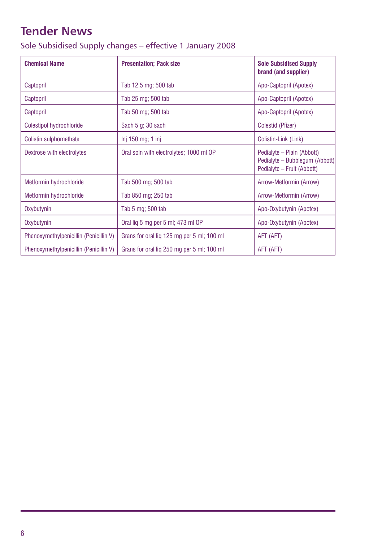# <span id="page-5-0"></span>**Tender News**

| Sole Subsidised Supply changes - effective 1 January 2008 |  |  |  |  |  |  |
|-----------------------------------------------------------|--|--|--|--|--|--|
|-----------------------------------------------------------|--|--|--|--|--|--|

| <b>Chemical Name</b>                   | <b>Presentation: Pack size</b>             | <b>Sole Subsidised Supply</b><br>brand (and supplier)                                      |
|----------------------------------------|--------------------------------------------|--------------------------------------------------------------------------------------------|
| Captopril                              | Tab 12.5 mg; 500 tab                       | Apo-Captopril (Apotex)                                                                     |
| Captopril                              | Tab 25 mg; 500 tab                         | Apo-Captopril (Apotex)                                                                     |
| Captopril                              | Tab 50 mg; 500 tab                         | Apo-Captopril (Apotex)                                                                     |
| Colestipol hydrochloride               | Sach 5 g; 30 sach                          | Colestid (Pfizer)                                                                          |
| Colistin sulphomethate                 | $Inj$ 150 mg; 1 inj                        | Colistin-Link (Link)                                                                       |
| Dextrose with electrolytes             | Oral soln with electrolytes; 1000 ml OP    | Pedialyte - Plain (Abbott)<br>Pedialyte - Bubblegum (Abbott)<br>Pedialyte - Fruit (Abbott) |
| Metformin hydrochloride                | Tab 500 mg; 500 tab                        | Arrow-Metformin (Arrow)                                                                    |
| Metformin hydrochloride                | Tab 850 mg; 250 tab                        | Arrow-Metformin (Arrow)                                                                    |
| Oxybutynin                             | Tab 5 mg; 500 tab                          | Apo-Oxybutynin (Apotex)                                                                    |
| Oxybutynin                             | Oral lig 5 mg per 5 ml; 473 ml OP          | Apo-Oxybutynin (Apotex)                                                                    |
| Phenoxymethylpenicillin (Penicillin V) | Grans for oral lig 125 mg per 5 ml; 100 ml | AFT (AFT)                                                                                  |
| Phenoxymethylpenicillin (Penicillin V) | Grans for oral lig 250 mg per 5 ml; 100 ml | AFT (AFT)                                                                                  |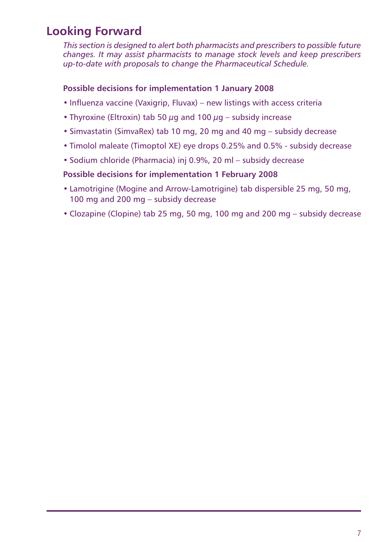# <span id="page-6-0"></span>**Looking Forward**

*This section is designed to alert both pharmacists and prescribers to possible future changes. It may assist pharmacists to manage stock levels and keep prescribers up-to-date with proposals to change the Pharmaceutical Schedule.*

## **Possible decisions for implementation 1 January 2008**

- Influenza vaccine (Vaxigrip, Fluvax) new listings with access criteria
- Thyroxine (Eltroxin) tab 50  $\mu$ g and 100  $\mu$ g subsidy increase
- Simvastatin (SimvaRex) tab 10 mg, 20 mg and 40 mg subsidy decrease
- Timolol maleate (Timoptol XE) eye drops 0.25% and 0.5% subsidy decrease
- Sodium chloride (Pharmacia) inj 0.9%, 20 ml subsidy decrease

## **Possible decisions for implementation 1 February 2008**

- Lamotrigine (Mogine and Arrow-Lamotrigine) tab dispersible 25 mg, 50 mg, 100 mg and 200 mg – subsidy decrease
- Clozapine (Clopine) tab 25 mg, 50 mg, 100 mg and 200 mg subsidy decrease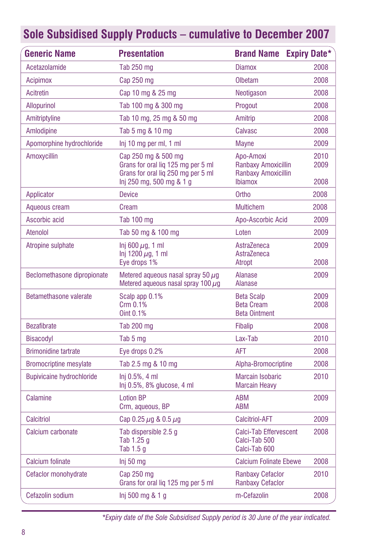<span id="page-7-0"></span>

| <b>Generic Name</b>              | <b>Presentation</b>                                                                                                         | <b>Brand Name Expiry Date*</b>                                            |                      |
|----------------------------------|-----------------------------------------------------------------------------------------------------------------------------|---------------------------------------------------------------------------|----------------------|
| Acetazolamide                    | Tab 250 mg                                                                                                                  | <b>Diamox</b>                                                             | 2008                 |
| Acipimox                         | Cap 250 mg                                                                                                                  | Olbetam                                                                   | 2008                 |
| <b>Acitretin</b>                 | Cap 10 mg & 25 mg                                                                                                           | Neotigason                                                                | 2008                 |
| <b>Allopurinol</b>               | Tab 100 mg & 300 mg                                                                                                         | Progout                                                                   | 2008                 |
| Amitriptyline                    | Tab 10 mg, 25 mg & 50 mg                                                                                                    | Amitrip                                                                   | 2008                 |
| Amlodipine                       | Tab 5 mg & 10 mg                                                                                                            | Calvasc                                                                   | 2008                 |
| Apomorphine hydrochloride        | Inj 10 mg per ml, 1 ml                                                                                                      | <b>Mayne</b>                                                              | 2009                 |
| Amoxycillin                      | Cap 250 mg & 500 mg<br>Grans for oral lig 125 mg per 5 ml<br>Grans for oral lig 250 mg per 5 ml<br>lnj 250 mg, 500 mg & 1 g | Apo-Amoxi<br>Ranbaxy Amoxicillin<br>Ranbaxy Amoxicillin<br><b>Ibiamox</b> | 2010<br>2009<br>2008 |
| Applicator                       | <b>Device</b>                                                                                                               | Ortho                                                                     | 2008                 |
| Aqueous cream                    | Cream                                                                                                                       | <b>Multichem</b>                                                          | 2008                 |
| Ascorbic acid                    | Tab 100 mg                                                                                                                  | Apo-Ascorbic Acid                                                         | 2009                 |
| Atenolol                         | Tab 50 mg & 100 mg                                                                                                          | Loten                                                                     | 2009                 |
| Atropine sulphate                | Inj 600 $\mu$ g, 1 ml<br>Inj 1200 $\mu$ q, 1 ml<br>Eye drops 1%                                                             | AstraZeneca<br>AstraZeneca<br>Atropt                                      | 2009<br>2008         |
| Beclomethasone dipropionate      | Metered aqueous nasal spray 50 $\mu$ q<br>Metered aqueous nasal spray 100 $\mu$ g                                           | <b>Alanase</b><br>Alanase                                                 | 2009                 |
| <b>Betamethasone valerate</b>    | Scalp app 0.1%<br>Crm 0.1%<br>Oint 0.1%                                                                                     | <b>Beta Scalp</b><br><b>Beta Cream</b><br><b>Beta Ointment</b>            | 2009<br>2008         |
| <b>Bezafibrate</b>               | Tab 200 mg                                                                                                                  | <b>Fibalip</b>                                                            | 2008                 |
| <b>Bisacodyl</b>                 | Tab 5 mg                                                                                                                    | Lax-Tab                                                                   | 2010                 |
| <b>Brimonidine tartrate</b>      | Eye drops 0.2%                                                                                                              | AFT                                                                       | 2008                 |
| <b>Bromocriptine mesylate</b>    | Tab 2.5 mg & 10 mg                                                                                                          | Alpha-Bromocriptine                                                       | 2008                 |
| <b>Bupivicaine hydrochloride</b> | Ini 0.5%, 4 ml<br>Inj 0.5%, 8% glucose, 4 ml                                                                                | <b>Marcain Isobaric</b><br><b>Marcain Heavy</b>                           | 2010                 |
| Calamine                         | <b>Lotion BP</b><br>Crm, aqueous, BP                                                                                        | <b>ABM</b><br><b>ABM</b>                                                  | 2009                 |
| Calcitriol                       | Cap 0.25 $\mu$ g & 0.5 $\mu$ g                                                                                              | <b>Calcitriol-AFT</b>                                                     | 2009                 |
| Calcium carbonate                | Tab dispersible 2.5 q<br>Tab 1.25 g<br>Tab 1.5 g                                                                            | <b>Calci-Tab Effervescent</b><br>Calci-Tab 500<br>Calci-Tab 600           | 2008                 |
| <b>Calcium folinate</b>          | Inj 50 mg                                                                                                                   | <b>Calcium Folinate Ebewe</b>                                             | 2008                 |
| Cefaclor monohydrate             | Cap 250 mg<br>Grans for oral lig 125 mg per 5 ml                                                                            | <b>Ranbaxy Cefaclor</b><br><b>Ranbaxy Cefaclor</b>                        | 2010                 |
| Cefazolin sodium                 | Inj 500 mg & 1 g                                                                                                            | m-Cefazolin                                                               | 2008                 |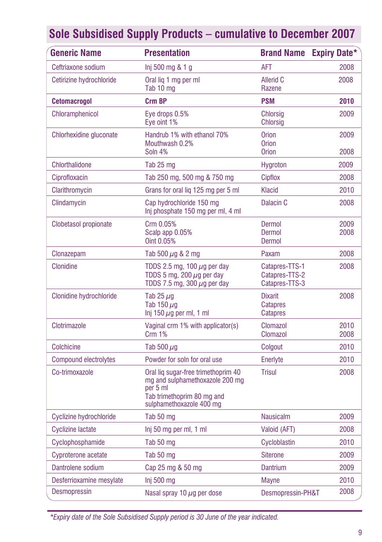| <b>Generic Name</b>            | <b>Presentation</b>                                                                                                                          | <b>Brand Name</b>                                  | <b>Expiry Date*</b> |
|--------------------------------|----------------------------------------------------------------------------------------------------------------------------------------------|----------------------------------------------------|---------------------|
| Ceftriaxone sodium             | Inj 500 mg & 1 g                                                                                                                             | AFT                                                | 2008                |
| Cetirizine hydrochloride       | Oral lig 1 mg per ml<br>Tab 10 mg                                                                                                            | Allerid C<br>Razene                                | 2008                |
| <b>Cetomacrogol</b>            | Crm BP                                                                                                                                       | <b>PSM</b>                                         | 2010                |
| Chloramphenicol                | Eye drops 0.5%<br>Eve oint 1%                                                                                                                | Chlorsig<br>Chlorsig                               | 2009                |
| Chlorhexidine gluconate        | Handrub 1% with ethanol 70%<br>Mouthwash 0.2%<br>Soln 4%                                                                                     | <b>Orion</b><br><b>Orion</b><br><b>Orion</b>       | 2009<br>2008        |
| <b>Chlorthalidone</b>          | Tab 25 mg                                                                                                                                    | Hygroton                                           | 2009                |
| Ciprofloxacin                  | Tab 250 mg, 500 mg & 750 mg                                                                                                                  | Cipflox                                            | 2008                |
| Clarithromycin                 | Grans for oral lig 125 mg per 5 ml                                                                                                           | Klacid                                             | 2010                |
| Clindamycin                    | Cap hydrochloride 150 mg<br>Inj phosphate 150 mg per ml, 4 ml                                                                                | Dalacin C                                          | 2008                |
| <b>Clobetasol propionate</b>   | Crm 0.05%<br>Scalp app 0.05%<br>Oint 0.05%                                                                                                   | Dermol<br>Dermol<br>Dermol                         | 2009<br>2008        |
| Clonazepam                     | Tab 500 $\mu$ g & 2 mg                                                                                                                       | Paxam                                              | 2008                |
| <b>Clonidine</b>               | TDDS 2.5 mg, 100 $\mu$ g per day<br>TDDS 5 mg, 200 $\mu$ g per day<br>TDDS 7.5 mg, 300 $\mu$ g per day                                       | Catapres-TTS-1<br>Catapres-TTS-2<br>Catapres-TTS-3 | 2008                |
| <b>Clonidine hydrochloride</b> | Tab 25 $\mu$ q<br>Tab 150 $\mu$ g<br>$lnj$ 150 $\mu$ g per ml, 1 ml                                                                          | <b>Dixarit</b><br><b>Catapres</b><br>Catapres      | 2008                |
| Clotrimazole                   | Vaginal crm 1% with applicator(s)<br><b>Crm 1%</b>                                                                                           | Clomazol<br>Clomazol                               | 2010<br>2008        |
| <b>Colchicine</b>              | Tab 500 $\mu$ g                                                                                                                              | Colgout                                            | 2010                |
| <b>Compound electrolytes</b>   | Powder for soln for oral use                                                                                                                 | Enerlyte                                           | 2010                |
| Co-trimoxazole                 | Oral liq sugar-free trimethoprim 40<br>mg and sulphamethoxazole 200 mg<br>per 5 ml<br>Tab trimethoprim 80 mg and<br>sulphamethoxazole 400 mg | Trisul                                             | 2008                |
| Cyclizine hydrochloride        | Tab 50 mg                                                                                                                                    | <b>Nausicalm</b>                                   | 2009                |
| <b>Cyclizine lactate</b>       | Inj 50 mg per ml, 1 ml                                                                                                                       | Valoid (AFT)                                       | 2008                |
| Cyclophosphamide               | Tab 50 mg                                                                                                                                    | Cycloblastin                                       | 2010                |
| Cyproterone acetate            | Tab 50 mg                                                                                                                                    | <b>Siterone</b>                                    | 2009                |
| Dantrolene sodium              | Cap 25 mg & 50 mg                                                                                                                            | <b>Dantrium</b>                                    | 2009                |
| Desferrioxamine mesylate       | Inj 500 mg                                                                                                                                   | <b>Mayne</b>                                       | 2010                |
| <b>Desmopressin</b>            | Nasal spray 10 $\mu$ g per dose                                                                                                              | Desmopressin-PH&T                                  | 2008                |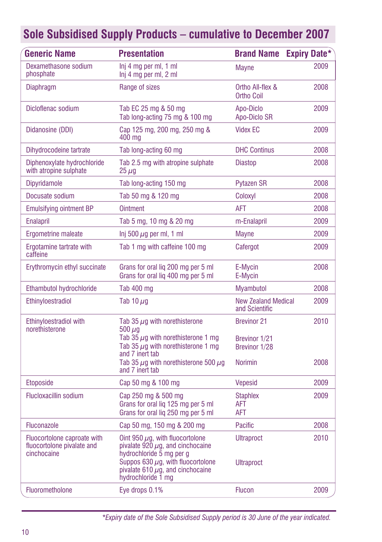| Generic Name                                                             | <b>Presentation</b>                                                                                                                                                                                                | <b>Brand Name</b>                            | <b>Expiry Date*</b> |
|--------------------------------------------------------------------------|--------------------------------------------------------------------------------------------------------------------------------------------------------------------------------------------------------------------|----------------------------------------------|---------------------|
| Dexamethasone sodium<br>phosphate                                        | Inj 4 mg per ml, 1 ml<br>Inj 4 mg per ml, 2 ml                                                                                                                                                                     | <b>Mayne</b>                                 | 2009                |
| <b>Diaphragm</b>                                                         | Range of sizes                                                                                                                                                                                                     | Ortho All-flex &<br><b>Ortho Coil</b>        | 2008                |
| Dicloflenac sodium                                                       | Tab EC 25 mg & 50 mg<br>Tab long-acting 75 mg & 100 mg                                                                                                                                                             | Apo-Diclo<br>Apo-Diclo SR                    | 2009                |
| Didanosine (DDI)                                                         | Cap 125 mg, 200 mg, 250 mg &<br>400 mg                                                                                                                                                                             | <b>Videx EC</b>                              | 2009                |
| Dihydrocodeine tartrate                                                  | Tab long-acting 60 mg                                                                                                                                                                                              | <b>DHC Continus</b>                          | 2008                |
| Diphenoxylate hydrochloride<br>with atropine sulphate                    | Tab 2.5 mg with atropine sulphate<br>$25 \mu g$                                                                                                                                                                    | <b>Diastop</b>                               | 2008                |
| <b>Dipyridamole</b>                                                      | Tab long-acting 150 mg                                                                                                                                                                                             | Pytazen SR                                   | 2008                |
| Docusate sodium                                                          | Tab 50 mg & 120 mg                                                                                                                                                                                                 | Coloxyl                                      | 2008                |
| <b>Emulsifying ointment BP</b>                                           | <b>Ointment</b>                                                                                                                                                                                                    | <b>AFT</b>                                   | 2008                |
| <b>Enalapril</b>                                                         | Tab 5 mg, 10 mg & 20 mg                                                                                                                                                                                            | m-Enalapril                                  | 2009                |
| Ergometrine maleate                                                      | Inj 500 $\mu$ g per ml, 1 ml                                                                                                                                                                                       | Mayne                                        | 2009                |
| Ergotamine tartrate with<br>caffeine                                     | Tab 1 mg with caffeine 100 mg                                                                                                                                                                                      | Cafergot                                     | 2009                |
| Erythromycin ethyl succinate                                             | Grans for oral lig 200 mg per 5 ml<br>Grans for oral lig 400 mg per 5 ml                                                                                                                                           | E-Mycin<br>E-Mycin                           | 2008                |
| Ethambutol hydrochloride                                                 | Tab 400 mg                                                                                                                                                                                                         | <b>Myambutol</b>                             | 2008                |
| Ethinyloestradiol                                                        | Tab 10 $\mu$ g                                                                                                                                                                                                     | <b>New Zealand Medical</b><br>and Scientific | 2009                |
| Ethinyloestradiol with                                                   | Tab 35 $\mu$ q with norethisterone                                                                                                                                                                                 | <b>Brevinor 21</b>                           | 2010                |
| norethisterone                                                           | 500 $\mu$ q<br>Tab 35 $\mu$ g with norethisterone 1 mg<br>Tab 35 $\mu$ q with norethisterone 1 mq<br>and 7 inert tab                                                                                               | Brevinor 1/21<br>Brevinor 1/28               |                     |
|                                                                          | Tab 35 $\mu$ g with norethisterone 500 $\mu$ g<br>and 7 inert tab                                                                                                                                                  | <b>Norimin</b>                               | 2008                |
| Etoposide                                                                | Cap 50 mg & 100 mg                                                                                                                                                                                                 | <b>Vepesid</b>                               | 2009                |
| <b>Flucloxacillin sodium</b>                                             | Cap 250 mg & 500 mg<br>Grans for oral lig 125 mg per 5 ml<br>Grans for oral liq 250 mg per 5 ml                                                                                                                    | <b>Staphlex</b><br>AFT<br>AFT                | 2009                |
| <b>Fluconazole</b>                                                       | Cap 50 mg, 150 mg & 200 mg                                                                                                                                                                                         | Pacific                                      | 2008                |
| Fluocortolone caproate with<br>fluocortolone pivalate and<br>cinchocaine | Oint 950 $\mu$ g, with fluocortolone<br>pivalate 920 $\mu$ g, and cinchocaine<br>hydrochloride 5 mg per g<br>Suppos 630 $\mu$ g, with fluocortolone<br>pivalate 610 $\mu$ q, and cinchocaine<br>hydrochloride 1 mg | <b>Ultraproct</b><br>Ultraproct              | 2010                |
| Fluorometholone                                                          | Eye drops 0.1%                                                                                                                                                                                                     | <b>Flucon</b>                                | 2009                |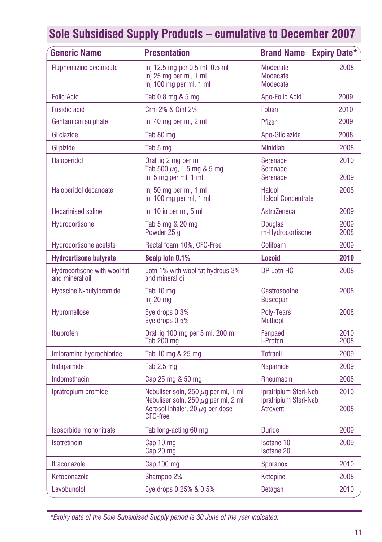| <b>Generic Name</b>                             | <b>Presentation</b>                                                                                                                             | <b>Brand Name</b>                                          | <b>Expiry Date*</b> |
|-------------------------------------------------|-------------------------------------------------------------------------------------------------------------------------------------------------|------------------------------------------------------------|---------------------|
| Fluphenazine decanoate                          | Inj 12.5 mg per 0.5 ml, 0.5 ml<br>Inj 25 mg per ml, 1 ml<br>Inj 100 mg per ml, 1 ml                                                             | Modecate<br>Modecate<br>Modecate                           | 2008                |
| <b>Folic Acid</b>                               | Tab 0.8 mg & 5 mg                                                                                                                               | Apo-Folic Acid                                             | 2009                |
| <b>Fusidic acid</b>                             | Crm 2% & Oint 2%                                                                                                                                | Foban                                                      | 2010                |
| Gentamicin sulphate                             | Inj 40 mg per ml, 2 ml                                                                                                                          | Pfizer                                                     | 2009                |
| Gliclazide                                      | Tab 80 mg                                                                                                                                       | Apo-Gliclazide                                             | 2008                |
| Glipizide                                       | Tab 5 mg                                                                                                                                        | <b>Minidiab</b>                                            | 2008                |
| Haloperidol                                     | Oral lig 2 mg per ml<br>Tab 500 $\mu$ g, 1.5 mg & 5 mg<br>Inj 5 mg per ml, 1 ml                                                                 | Serenace<br><b>Serenace</b><br><b>Serenace</b>             | 2010<br>2009        |
| Haloperidol decanoate                           | Inj 50 mg per ml, 1 ml<br>Inj 100 mg per ml, 1 ml                                                                                               | Haldol<br><b>Haldol Concentrate</b>                        | 2008                |
| <b>Heparinised saline</b>                       | Inj 10 iu per ml, 5 ml                                                                                                                          | AstraZeneca                                                | 2009                |
| Hydrocortisone                                  | Tab 5 mg & 20 mg<br>Powder 25 q                                                                                                                 | <b>Douglas</b><br>m-Hydrocortisone                         | 2009<br>2008        |
| <b>Hydrocortisone acetate</b>                   | Rectal foam 10%, CFC-Free                                                                                                                       | Colifoam                                                   | 2009                |
| <b>Hydrcortisone butyrate</b>                   | Scalp lotn 0.1%                                                                                                                                 | <b>Locoid</b>                                              | 2010                |
| Hydrocortisone with wool fat<br>and mineral oil | Lotn 1% with wool fat hydrous 3%<br>and mineral oil                                                                                             | DP Lotn HC                                                 | 2008                |
| <b>Hyoscine N-butylbromide</b>                  | Tab 10 mg<br>$Inj 20$ mg                                                                                                                        | Gastrosoothe<br><b>Buscopan</b>                            | 2008                |
| Hypromellose                                    | Eye drops 0.3%<br>Eye drops 0.5%                                                                                                                | Poly-Tears<br><b>Methopt</b>                               | 2008                |
| Ibuprofen                                       | Oral lig 100 mg per 5 ml, 200 ml<br>Tab 200 mg                                                                                                  | Fenpaed<br>I-Profen                                        | 2010<br>2008        |
| Imipramine hydrochloride                        | Tab 10 mg & 25 mg                                                                                                                               | <b>Tofranil</b>                                            | 2009                |
| Indapamide                                      | Tab $2.5$ mg                                                                                                                                    | <b>Napamide</b>                                            | 2009                |
| Indomethacin                                    | Cap 25 mg & 50 mg                                                                                                                               | Rheumacin                                                  | 2008                |
| Ipratropium bromide                             | Nebuliser soln, 250 $\mu$ g per ml, 1 ml<br>Nebuliser soln, 250 $\mu$ g per ml, 2 ml<br>Aerosol inhaler, 20 $\mu$ q per dose<br><b>CFC-free</b> | Ipratripium Steri-Neb<br>Ipratripium Steri-Neb<br>Atrovent | 2010<br>2008        |
| Isosorbide mononitrate                          | Tab long-acting 60 mg                                                                                                                           | <b>Duride</b>                                              | 2009                |
| Isotretinoin                                    | Cap 10 mg<br>Cap 20 mg                                                                                                                          | <b>Isotane 10</b><br><b>Isotane 20</b>                     | 2009                |
| <b>Itraconazole</b>                             | Cap 100 mg                                                                                                                                      | Sporanox                                                   | 2010                |
| Ketoconazole                                    | Shampoo 2%                                                                                                                                      | Ketopine                                                   | 2008                |
| Levobunolol                                     | Eye drops 0.25% & 0.5%                                                                                                                          | <b>Betagan</b>                                             | 2010                |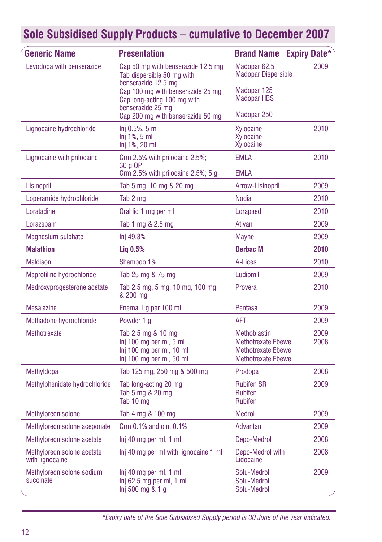| Generic Name                                  | <b>Presentation</b>                                                                                   | <b>Brand Name</b>                                                                                   | <b>Expiry Date*</b> |
|-----------------------------------------------|-------------------------------------------------------------------------------------------------------|-----------------------------------------------------------------------------------------------------|---------------------|
| Levodopa with benserazide                     | Cap 50 mg with benserazide 12.5 mg<br>Tab dispersible 50 mg with<br>benserazide 12.5 mg               | Madopar <sub>62.5</sub><br><b>Madopar Dispersible</b>                                               | 2009                |
|                                               | Cap 100 mg with benserazide 25 mg<br>Cap long-acting 100 mg with<br>benserazide 25 mg                 | Madopar 125<br><b>Madopar HBS</b>                                                                   |                     |
|                                               | Cap 200 mg with benserazide 50 mg                                                                     | Madopar 250                                                                                         |                     |
| Lignocaine hydrochloride                      | Inj 0.5%, 5 ml<br>$Inj 1\%$ , 5 ml<br>Inj 1%, 20 ml                                                   | Xylocaine<br>Xylocaine<br>Xylocaine                                                                 | 2010                |
| Lignocaine with prilocaine                    | Crm 2.5% with prilocaine 2.5%;<br>30 a OP<br>Crm $2.5\%$ with prilocaine $2.5\%$ ; 5 g                | <b>EMLA</b><br><b>EMLA</b>                                                                          | 2010                |
| Lisinopril                                    | Tab 5 mg, 10 mg & 20 mg                                                                               | Arrow-Lisinopril                                                                                    | 2009                |
| Loperamide hydrochloride                      | Tab 2 mg                                                                                              | <b>Nodia</b>                                                                                        | 2010                |
| Loratadine                                    | Oral lig 1 mg per ml                                                                                  | Lorapaed                                                                                            | 2010                |
| Lorazepam                                     | Tab 1 mg & 2.5 mg                                                                                     | Ativan                                                                                              | 2009                |
| Magnesium sulphate                            | Inj 49.3%                                                                                             | <b>Mayne</b>                                                                                        | 2009                |
| <b>Malathion</b>                              | $Liq$ 0.5%                                                                                            | Derbac M                                                                                            | 2010                |
| <b>Maldison</b>                               | Shampoo 1%                                                                                            | A-Lices                                                                                             | 2010                |
| Maprotiline hydrochloride                     | Tab 25 mg & 75 mg                                                                                     | Ludiomil                                                                                            | 2009                |
| Medroxyprogesterone acetate                   | Tab 2.5 mg, 5 mg, 10 mg, 100 mg<br>& 200 mg                                                           | Provera                                                                                             | 2010                |
| <b>Mesalazine</b>                             | Enema 1 g per 100 ml                                                                                  | Pentasa                                                                                             | 2009                |
| Methadone hydrochloride                       | Powder 1 g                                                                                            | AFT                                                                                                 | 2009                |
| Methotrexate                                  | Tab 2.5 mg & 10 mg<br>Inj 100 mg per ml, 5 ml<br>Inj 100 mg per ml, 10 ml<br>Inj 100 mg per ml, 50 ml | Methoblastin<br><b>Methotrexate Ebewe</b><br><b>Methotrexate Ebewe</b><br><b>Methotrexate Ebewe</b> | 2009<br>2008        |
| Methyldopa                                    | Tab 125 mg, 250 mg & 500 mg                                                                           | Prodopa                                                                                             | 2008                |
| Methylphenidate hydrochloride                 | Tab long-acting 20 mg<br>Tab 5 mg & 20 mg<br>Tab 10 mg                                                | <b>Rubifen SR</b><br><b>Rubifen</b><br><b>Rubifen</b>                                               | 2009                |
| Methylprednisolone                            | Tab 4 mg & 100 mg                                                                                     | <b>Medrol</b>                                                                                       | 2009                |
| Methylprednisolone aceponate                  | Crm $0.1\%$ and oint $0.1\%$                                                                          | Advantan                                                                                            | 2009                |
| Methylprednisolone acetate                    | Inj 40 mg per ml, 1 ml                                                                                | Depo-Medrol                                                                                         | 2008                |
| Methylprednisolone acetate<br>with lignocaine | Inj 40 mg per ml with lignocaine 1 ml                                                                 | Depo-Medrol with<br>Lidocaine                                                                       | 2008                |
| Methylprednisolone sodium<br>succinate        | Inj 40 mg per ml, 1 ml<br>$Inj$ 62.5 mg per ml, 1 ml<br>Inj 500 mg & 1 g                              | Solu-Medrol<br>Solu-Medrol<br>Solu-Medrol                                                           | 2009                |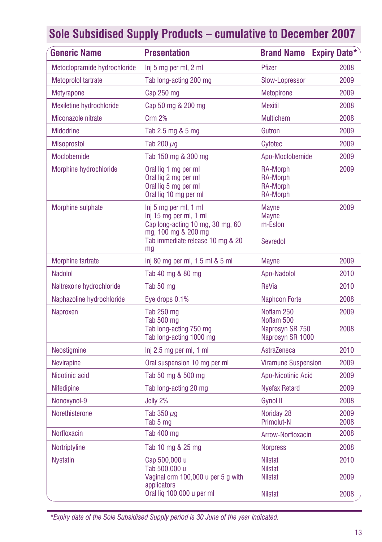| <b>Generic Name</b>          | <b>Presentation</b>                                                                                                                                  | <b>Brand Name Expiry Date*</b>                                    |              |
|------------------------------|------------------------------------------------------------------------------------------------------------------------------------------------------|-------------------------------------------------------------------|--------------|
| Metoclopramide hydrochloride | Inj 5 mg per ml, 2 ml                                                                                                                                | <b>Pfizer</b>                                                     | 2008         |
| Metoprolol tartrate          | Tab long-acting 200 mg                                                                                                                               | Slow-Lopressor                                                    | 2009         |
| <b>Metyrapone</b>            | Cap $250$ mg                                                                                                                                         | Metopirone                                                        | 2009         |
| Mexiletine hydrochloride     | Cap 50 mg & 200 mg                                                                                                                                   | <b>Mexitil</b>                                                    | 2008         |
| Miconazole nitrate           | Crm 2%                                                                                                                                               | <b>Multichem</b>                                                  | 2008         |
| <b>Midodrine</b>             | Tab 2.5 mg & 5 mg                                                                                                                                    | Gutron                                                            | 2009         |
| <b>Misoprostol</b>           | Tab 200 $\mu$ g                                                                                                                                      | Cytotec                                                           | 2009         |
| Moclobemide                  | Tab 150 mg & 300 mg                                                                                                                                  | Apo-Moclobemide                                                   | 2009         |
| Morphine hydrochloride       | Oral lig 1 mg per ml<br>Oral liq 2 mg per ml<br>Oral lig 5 mg per ml<br>Oral lig 10 mg per ml                                                        | RA-Morph<br><b>RA-Morph</b><br><b>RA-Morph</b><br><b>RA-Morph</b> | 2009         |
| Morphine sulphate            | Inj 5 mg per ml, 1 ml<br>Inj 15 mg per ml, 1 ml<br>Cap long-acting 10 mg, 30 mg, 60<br>mg, 100 mg & 200 mg<br>Tab immediate release 10 mg & 20<br>mg | Mayne<br><b>Mayne</b><br>m-Eslon<br>Sevredol                      | 2009         |
| Morphine tartrate            | Inj 80 mg per ml, 1.5 ml & 5 ml                                                                                                                      | <b>Mayne</b>                                                      | 2009         |
| <b>Nadolol</b>               | Tab 40 mg & 80 mg                                                                                                                                    | Apo-Nadolol                                                       | 2010         |
| Naltrexone hydrochloride     | Tab 50 mg                                                                                                                                            | <b>ReVia</b>                                                      | 2010         |
| Naphazoline hydrochloride    | Eye drops 0.1%                                                                                                                                       | <b>Naphcon Forte</b>                                              | 2008         |
| Naproxen                     | Tab 250 mg<br>Tab 500 mg<br>Tab long-acting 750 mg<br>Tab long-acting 1000 mg                                                                        | Noflam 250<br>Noflam 500<br>Naprosyn SR 750<br>Naprosyn SR 1000   | 2009<br>2008 |
| Neostigmine                  | Inj 2.5 mg per ml, 1 ml                                                                                                                              | AstraZeneca                                                       | 2010         |
| <b>Nevirapine</b>            | Oral suspension 10 mg per ml                                                                                                                         | <b>Viramune Suspension</b>                                        | 2009         |
| Nicotinic acid               | Tab 50 mg & 500 mg                                                                                                                                   | Apo-Nicotinic Acid                                                | 2009         |
| <b>Nifedipine</b>            | Tab long-acting 20 mg                                                                                                                                | <b>Nyefax Retard</b>                                              | 2009         |
| Nonoxynol-9                  | Jelly 2%                                                                                                                                             | Gynol II                                                          | 2008         |
| Norethisterone               | Tab $350 \mu q$<br>Tab 5 mg                                                                                                                          | Noriday 28<br>Primolut-N                                          | 2009<br>2008 |
| Norfloxacin                  | Tab 400 mg                                                                                                                                           | Arrow-Norfloxacin                                                 | 2008         |
| Nortriptyline                | Tab 10 mg & 25 mg                                                                                                                                    | <b>Norpress</b>                                                   | 2008         |
| <b>Nystatin</b>              | Cap 500,000 u<br>Tab 500,000 u                                                                                                                       | <b>Nilstat</b><br><b>Nilstat</b>                                  | 2010         |
|                              | Vaginal crm 100,000 u per 5 g with<br>applicators                                                                                                    | <b>Nilstat</b>                                                    | 2009         |
|                              | Oral lig 100,000 u per ml                                                                                                                            | <b>Nilstat</b>                                                    | 2008         |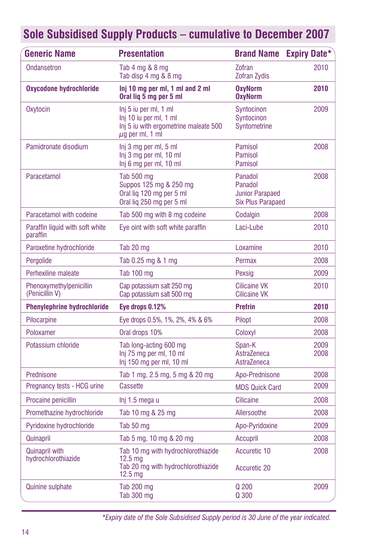| <b>Generic Name</b>                          | <b>Presentation</b>                                                                                                  | <b>Brand Name</b>                                                        | <b>Expiry Date*</b> |
|----------------------------------------------|----------------------------------------------------------------------------------------------------------------------|--------------------------------------------------------------------------|---------------------|
| Ondansetron                                  | Tab 4 mg & 8 mg<br>Tab disp 4 mg & 8 mg                                                                              | Zofran<br>Zofran Zydis                                                   | 2010                |
| <b>Oxycodone hydrochloride</b>               | Inj 10 mg per ml, 1 ml and 2 ml<br>Oral lig 5 mg per 5 ml                                                            | <b>OxvNorm</b><br><b>OxyNorm</b>                                         | 2010                |
| Oxytocin                                     | Inj 5 iu per ml, 1 ml<br>Inj 10 iu per ml, 1 ml<br>Inj 5 iu with ergometrine maleate 500<br>$\mu$ g per ml, 1 ml     | Syntocinon<br>Syntocinon<br>Syntometrine                                 | 2009                |
| Pamidronate disodium                         | Inj 3 mg per ml, 5 ml<br>Inj 3 mg per ml, 10 ml<br>Inj 6 mg per ml, 10 ml                                            | Pamisol<br>Pamisol<br>Pamisol                                            | 2008                |
| Paracetamol                                  | Tab 500 mg<br>Suppos 125 mg & 250 mg<br>Oral liq 120 mg per 5 ml<br>Oral lig 250 mg per 5 ml                         | Panadol<br>Panadol<br><b>Junior Parapaed</b><br><b>Six Plus Parapaed</b> | 2008                |
| Paracetamol with codeine                     | Tab 500 mg with 8 mg codeine                                                                                         | Codalgin                                                                 | 2008                |
| Paraffin liquid with soft white<br>paraffin  | Eye oint with soft white paraffin                                                                                    | Laci-Lube                                                                | 2010                |
| Paroxetine hydrochloride                     | Tab 20 mg                                                                                                            | Loxamine                                                                 | 2010                |
| Pergolide                                    | Tab 0.25 mg & 1 mg                                                                                                   | Permax                                                                   | 2008                |
| Perhexiline maleate                          | <b>Tab 100 mg</b>                                                                                                    | Pexsig                                                                   | 2009                |
| Phenoxymethylpenicillin<br>(Penicillin V)    | Cap potassium salt 250 mg<br>Cap potassium salt 500 mg                                                               | <b>Cilicaine VK</b><br><b>Cilicaine VK</b>                               | 2010                |
| <b>Phenylephrine hydrochloride</b>           | Eye drops 0.12%                                                                                                      | <b>Prefrin</b>                                                           | 2010                |
| Pilocarpine                                  | Eye drops 0.5%, 1%, 2%, 4% & 6%                                                                                      | Pilopt                                                                   | 2008                |
| Poloxamer                                    | Oral drops 10%                                                                                                       | Coloxyl                                                                  | 2008                |
| Potassium chloride                           | Tab long-acting 600 mg<br>Inj 75 mg per ml, 10 ml<br>Inj 150 mg per ml, 10 ml                                        | Span-K<br>AstraZeneca<br>AstraZeneca                                     | 2009<br>2008        |
| Prednisone                                   | Tab 1 mg, 2.5 mg, 5 mg & 20 mg                                                                                       | Apo-Prednisone                                                           | 2008                |
| Pregnancy tests - HCG urine                  | <b>Cassette</b>                                                                                                      | <b>MDS Quick Card</b>                                                    | 2009                |
| Procaine penicillin                          | lnj 1.5 mega u                                                                                                       | Cilicaine                                                                | 2008                |
| Promethazine hydrochloride                   | Tab 10 mg & 25 mg                                                                                                    | Allersoothe                                                              | 2008                |
| Pyridoxine hydrochloride                     | Tab 50 mg                                                                                                            | Apo-Pyridoxine                                                           | 2009                |
| Quinapril                                    | Tab 5 mg, 10 mg & 20 mg                                                                                              | Accupril                                                                 | 2008                |
| <b>Quinapril with</b><br>hydrochlorothiazide | Tab 10 mg with hydrochlorothiazide<br>12.5 <sub>ma</sub><br>Tab 20 mg with hydrochlorothiazide<br>12.5 <sub>mq</sub> | Accuretic 10<br><b>Accuretic 20</b>                                      | 2008                |
| <b>Quinine sulphate</b>                      | Tab 200 mg<br><b>Tab 300 mg</b>                                                                                      | Q 200<br>Q 300                                                           | 2009                |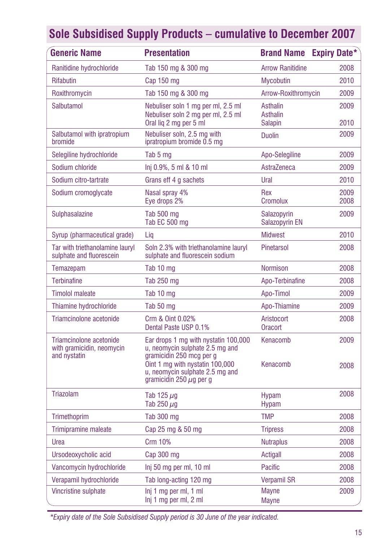| <b>Generic Name</b>                                                  | <b>Presentation</b>                                                                                                                                                                                       | <b>Brand Name Expiry Date*</b>                |              |
|----------------------------------------------------------------------|-----------------------------------------------------------------------------------------------------------------------------------------------------------------------------------------------------------|-----------------------------------------------|--------------|
| Ranitidine hydrochloride                                             | Tab 150 mg & 300 mg                                                                                                                                                                                       | <b>Arrow Ranitidine</b>                       | 2008         |
| Rifabutin                                                            | Cap 150 mg                                                                                                                                                                                                | <b>Mycobutin</b>                              | 2010         |
| Roxithromycin                                                        | Tab 150 mg & 300 mg                                                                                                                                                                                       | Arrow-Roxithromycin                           | 2009         |
| Salbutamol                                                           | Nebuliser soln 1 mg per ml, 2.5 ml<br>Nebuliser soln 2 mg per ml, 2.5 ml<br>Oral lig 2 mg per 5 ml                                                                                                        | Asthalin<br><b>Asthalin</b><br><b>Salapin</b> | 2009<br>2010 |
| Salbutamol with ipratropium<br>bromide                               | Nebuliser soln, 2.5 mg with<br>ipratropium bromide 0.5 mg                                                                                                                                                 | <b>Duolin</b>                                 | 2009         |
| Selegiline hydrochloride                                             | Tab 5 mg                                                                                                                                                                                                  | Apo-Selegiline                                | 2009         |
| Sodium chloride                                                      | Inj 0.9%, 5 ml & 10 ml                                                                                                                                                                                    | AstraZeneca                                   | 2009         |
| Sodium citro-tartrate                                                | Grans eff 4 g sachets                                                                                                                                                                                     | Ural                                          | 2010         |
| Sodium cromoglycate                                                  | Nasal spray 4%<br>Eye drops 2%                                                                                                                                                                            | Rex<br><b>Cromolux</b>                        | 2009<br>2008 |
| Sulphasalazine                                                       | Tab 500 mg<br>Tab EC 500 mg                                                                                                                                                                               | Salazopyrin<br>Salazopyrin EN                 | 2009         |
| Syrup (pharmaceutical grade)                                         | Lig                                                                                                                                                                                                       | <b>Midwest</b>                                | 2010         |
| Tar with triethanolamine lauryl<br>sulphate and fluorescein          | Soln 2.3% with triethanolamine lauryl<br>sulphate and fluorescein sodium                                                                                                                                  | <b>Pinetarsol</b>                             | 2008         |
| Temazepam                                                            | Tab 10 mg                                                                                                                                                                                                 | <b>Normison</b>                               | 2008         |
| <b>Terbinafine</b>                                                   | Tab 250 mg                                                                                                                                                                                                | Apo-Terbinafine                               | 2008         |
| <b>Timolol maleate</b>                                               | Tab 10 mg                                                                                                                                                                                                 | Apo-Timol                                     | 2009         |
| Thiamine hydrochloride                                               | Tab 50 mg                                                                                                                                                                                                 | Apo-Thiamine                                  | 2009         |
| Triamcinolone acetonide                                              | Crm & Oint 0.02%<br>Dental Paste USP 0.1%                                                                                                                                                                 | Aristocort<br>Oracort                         | 2008         |
| Triamcinolone acetonide<br>with gramicidin, neomycin<br>and nystatin | Ear drops 1 mg with nystatin 100,000<br>u, neomycin sulphate 2.5 mg and<br>gramicidin 250 mcg per g<br>Oint 1 mg with nystatin 100,000<br>u, neomycin sulphate 2.5 mg and<br>gramicidin 250 $\mu$ g per g | Kenacomb<br>Kenacomb                          | 2009<br>2008 |
| Triazolam                                                            | Tab 125 $\mu$ g<br>Tab 250 $\mu$ g                                                                                                                                                                        | <b>Hypam</b><br><b>Hypam</b>                  | 2008         |
| Trimethoprim                                                         | Tab 300 mg                                                                                                                                                                                                | <b>TMP</b>                                    | 2008         |
| <b>Trimipramine maleate</b>                                          | Cap 25 mg & 50 mg                                                                                                                                                                                         | <b>Tripress</b>                               | 2008         |
| Urea                                                                 | Crm 10%                                                                                                                                                                                                   | <b>Nutraplus</b>                              | 2008         |
| Ursodeoxycholic acid                                                 | Cap 300 mg                                                                                                                                                                                                | Actigall                                      | 2008         |
| Vancomycin hydrochloride                                             | Inj 50 mg per ml, 10 ml                                                                                                                                                                                   | Pacific                                       | 2008         |
| Verapamil hydrochloride                                              | Tab long-acting 120 mg                                                                                                                                                                                    | <b>Verpamil SR</b>                            | 2008         |
| Vincristine sulphate                                                 | Inj 1 mg per ml, 1 ml<br>Inj 1 mg per ml, 2 ml                                                                                                                                                            | <b>Mayne</b><br><b>Mayne</b>                  | 2009         |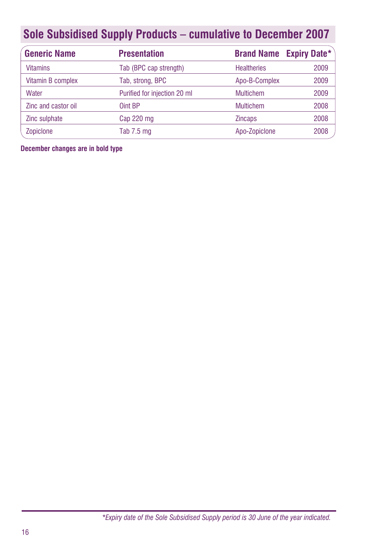| <b>Generic Name</b> | <b>Presentation</b>          |                    | <b>Brand Name Expiry Date*</b> |
|---------------------|------------------------------|--------------------|--------------------------------|
| <b>Vitamins</b>     | Tab (BPC cap strength)       | <b>Healtheries</b> | 2009                           |
| Vitamin B complex   | Tab, strong, BPC             | Apo-B-Complex      | 2009                           |
| Water               | Purified for injection 20 ml | <b>Multichem</b>   | 2009                           |
| Zinc and castor oil | Oint BP                      | <b>Multichem</b>   | 2008                           |
| Zinc sulphate       | Cap 220 mg                   | <b>Zincaps</b>     | 2008                           |
| Zopiclone           | Tab $7.5$ mg                 | Apo-Zopiclone      | 2008                           |

**December changes are in bold type**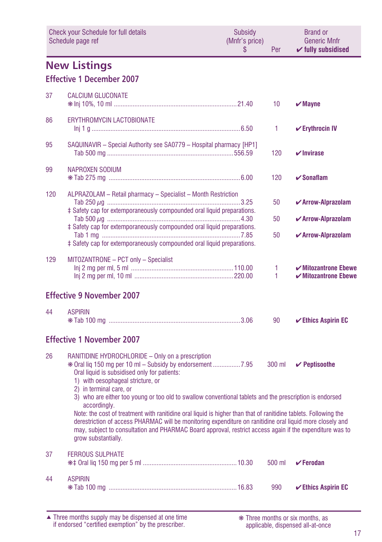<span id="page-16-0"></span>

| Check your Schedule for full details<br>Schedule page ref |                                                                                                                                                                                                                                                                                                                                                                  | <b>Subsidy</b><br>(Mnfr's price)<br>S | Per    | <b>Brand or</b><br><b>Generic Mnfr</b><br>$\checkmark$ fully subsidised         |
|-----------------------------------------------------------|------------------------------------------------------------------------------------------------------------------------------------------------------------------------------------------------------------------------------------------------------------------------------------------------------------------------------------------------------------------|---------------------------------------|--------|---------------------------------------------------------------------------------|
|                                                           | <b>New Listings</b><br><b>Effective 1 December 2007</b>                                                                                                                                                                                                                                                                                                          |                                       |        |                                                                                 |
| 37                                                        | <b>CALCIUM GLUCONATE</b>                                                                                                                                                                                                                                                                                                                                         |                                       | 10     | $\boldsymbol{\mathsf{v}}$ Mayne                                                 |
| 86                                                        | <b>ERYTHROMYCIN LACTOBIONATE</b>                                                                                                                                                                                                                                                                                                                                 |                                       | 1      | $\checkmark$ Erythrocin IV                                                      |
| 95                                                        | SAQUINAVIR - Special Authority see SA0779 - Hospital pharmacy [HP1]                                                                                                                                                                                                                                                                                              |                                       | 120    | $\nu$ Invirase                                                                  |
| 99                                                        | NAPROXEN SODIUM                                                                                                                                                                                                                                                                                                                                                  |                                       | 120    | $\checkmark$ Sonaflam                                                           |
| 120                                                       | ALPRAZOLAM - Retail pharmacy - Specialist - Month Restriction                                                                                                                                                                                                                                                                                                    |                                       | 50     | $\checkmark$ Arrow-Alprazolam                                                   |
|                                                           | ‡ Safety cap for extemporaneously compounded oral liquid preparations.                                                                                                                                                                                                                                                                                           |                                       | 50     | ✔ Arrow-Alprazolam                                                              |
|                                                           | ‡ Safety cap for extemporaneously compounded oral liquid preparations.<br>‡ Safety cap for extemporaneously compounded oral liquid preparations.                                                                                                                                                                                                                 |                                       | 50     | ✔ Arrow-Alprazolam                                                              |
| 129                                                       | MITOZANTRONE - PCT only - Specialist                                                                                                                                                                                                                                                                                                                             |                                       | 1<br>1 | $\boldsymbol{\checkmark}$ Mitozantrone Ebewe<br>$\checkmark$ Mitozantrone Ebewe |
|                                                           | <b>Effective 9 November 2007</b>                                                                                                                                                                                                                                                                                                                                 |                                       |        |                                                                                 |
| 44                                                        | <b>ASPIRIN</b>                                                                                                                                                                                                                                                                                                                                                   |                                       | 90     | $\checkmark$ Ethics Aspirin EC                                                  |
|                                                           | <b>Effective 1 November 2007</b>                                                                                                                                                                                                                                                                                                                                 |                                       |        |                                                                                 |
| 26                                                        | RANITIDINE HYDROCHLORIDE - Only on a prescription<br>Oral liquid is subsidised only for patients:<br>1) with oesophageal stricture, or<br>2) in terminal care, or                                                                                                                                                                                                |                                       | 300 ml | $\checkmark$ Peptisoothe                                                        |
|                                                           | 3) who are either too young or too old to swallow conventional tablets and the prescription is endorsed<br>accordingly.                                                                                                                                                                                                                                          |                                       |        |                                                                                 |
|                                                           | Note: the cost of treatment with ranitidine oral liquid is higher than that of ranitidine tablets. Following the<br>derestriction of access PHARMAC will be monitoring expenditure on ranitidine oral liquid more closely and<br>may, subject to consultation and PHARMAC Board approval, restrict access again if the expenditure was to<br>grow substantially. |                                       |        |                                                                                 |
| 37                                                        | <b>FERROUS SULPHATE</b>                                                                                                                                                                                                                                                                                                                                          |                                       | 500 ml | $\checkmark$ Ferodan                                                            |
| 44                                                        | <b>ASPIRIN</b>                                                                                                                                                                                                                                                                                                                                                   |                                       | 990    | $\checkmark$ Ethics Aspirin EC                                                  |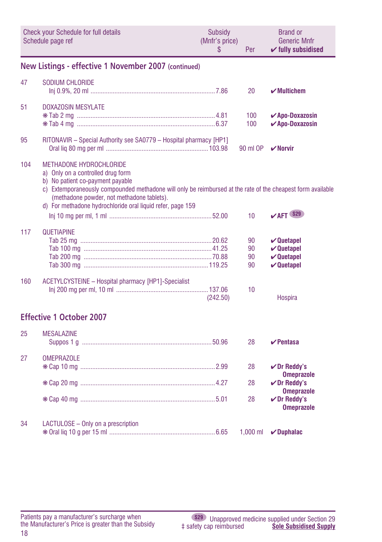<span id="page-17-0"></span>

|     | Check your Schedule for full details<br>Schedule page ref                                                                                                                                                                                                                                                                          | Subsidy<br>(Mnfr's price)<br>\$ | Per                  | <b>Brand or</b><br><b>Generic Mnfr</b><br>$\checkmark$ fully subsidised                          |
|-----|------------------------------------------------------------------------------------------------------------------------------------------------------------------------------------------------------------------------------------------------------------------------------------------------------------------------------------|---------------------------------|----------------------|--------------------------------------------------------------------------------------------------|
|     | New Listings - effective 1 November 2007 (continued)                                                                                                                                                                                                                                                                               |                                 |                      |                                                                                                  |
| 47  | <b>SODIUM CHLORIDE</b>                                                                                                                                                                                                                                                                                                             |                                 | 20                   | $\boldsymbol{\checkmark}$ Multichem                                                              |
| 51  | <b>DOXAZOSIN MESYLATE</b>                                                                                                                                                                                                                                                                                                          |                                 | 100<br>100           | $\sqrt{Apo-Doxazosin}$<br>$\checkmark$ Apo-Doxazosin                                             |
| 95  | RITONAVIR - Special Authority see SA0779 - Hospital pharmacy [HP1]                                                                                                                                                                                                                                                                 |                                 | 90 ml OP             | $\boldsymbol{\nu}$ Norvir                                                                        |
| 104 | <b>METHADONE HYDROCHLORIDE</b><br>a) Only on a controlled drug form<br>b) No patient co-payment payable<br>c) Extemporaneously compounded methadone will only be reimbursed at the rate of the cheapest form available<br>(methadone powder, not methadone tablets).<br>d) For methadone hydrochloride oral liquid refer, page 159 |                                 | 10                   | $V$ AFT \$29                                                                                     |
| 117 | QUETIAPINE                                                                                                                                                                                                                                                                                                                         |                                 | 90<br>90<br>90<br>90 | $\vee$ Quetapel<br>$\boldsymbol{\nu}$ Quetapel<br>$\boldsymbol{\nu}$ Quetapel<br>$\vee$ Quetapel |
| 160 | ACETYLCYSTEINE - Hospital pharmacy [HP1]-Specialist                                                                                                                                                                                                                                                                                | (242.50)                        | 10                   | Hospira                                                                                          |
|     | <b>Effective 1 October 2007</b>                                                                                                                                                                                                                                                                                                    |                                 |                      |                                                                                                  |
| 25  | <b>MESALAZINE</b>                                                                                                                                                                                                                                                                                                                  |                                 | 28                   | $\boldsymbol{\nu}$ Pentasa                                                                       |
| 27  | <b>OMEPRAZOLE</b>                                                                                                                                                                                                                                                                                                                  |                                 | 28                   | $\nu$ Dr Reddy's<br><b>Omeprazole</b>                                                            |
|     |                                                                                                                                                                                                                                                                                                                                    |                                 | 28                   | $\nu$ Dr Reddy's<br><b>Omeprazole</b>                                                            |
|     |                                                                                                                                                                                                                                                                                                                                    |                                 | 28                   | $\nu$ Dr Reddy's<br><b>Omeprazole</b>                                                            |
| 34  | LACTULOSE - Only on a prescription                                                                                                                                                                                                                                                                                                 |                                 | $1.000$ ml           | $\nu$ Duphalac                                                                                   |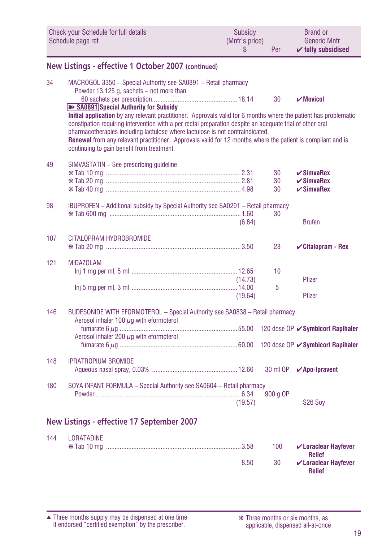<span id="page-18-0"></span>

|     | <b>Check your Schedule for full details</b><br>Schedule page ref                                                                                                                                                                                                                                                                                                                                                                                                                                                                                                                                                                            | Subsidy<br>(Mnfr's price)<br>\$ | Per                  | <b>Brand or</b><br><b>Generic Mnfr</b><br>$\checkmark$ fully subsidised |
|-----|---------------------------------------------------------------------------------------------------------------------------------------------------------------------------------------------------------------------------------------------------------------------------------------------------------------------------------------------------------------------------------------------------------------------------------------------------------------------------------------------------------------------------------------------------------------------------------------------------------------------------------------------|---------------------------------|----------------------|-------------------------------------------------------------------------|
|     | New Listings - effective 1 October 2007 (continued)                                                                                                                                                                                                                                                                                                                                                                                                                                                                                                                                                                                         |                                 |                      |                                                                         |
| 34  | MACROGOL 3350 - Special Authority see SA0891 - Retail pharmacy<br>Powder 13.125 g, sachets – not more than<br><b>B+ SA0891</b> Special Authority for Subsidy<br>Initial application by any relevant practitioner. Approvals valid for 6 months where the patient has problematic<br>constipation requiring intervention with a per rectal preparation despite an adequate trial of other oral<br>pharmacotherapies including lactulose where lactulose is not contraindicated.<br>Renewal from any relevant practitioner. Approvals valid for 12 months where the patient is compliant and is<br>continuing to gain benefit from treatment. |                                 | 30                   | $\boldsymbol{\nu}$ Movicol                                              |
| 49  | SIMVASTATIN - See prescribing quideline                                                                                                                                                                                                                                                                                                                                                                                                                                                                                                                                                                                                     |                                 | 30<br>30<br>30       | $\checkmark$ SimvaRex<br>$\checkmark$ SimvaRex<br>$\checkmark$ SimvaRex |
| 98  | IBUPROFEN - Additional subsidy by Special Authority see SA0291 - Retail pharmacy                                                                                                                                                                                                                                                                                                                                                                                                                                                                                                                                                            | (6.84)                          | 30                   | <b>Brufen</b>                                                           |
| 107 | CITALOPRAM HYDROBROMIDE                                                                                                                                                                                                                                                                                                                                                                                                                                                                                                                                                                                                                     |                                 | 28                   | $\checkmark$ Citalopram - Rex                                           |
| 121 | <b>MIDAZOLAM</b>                                                                                                                                                                                                                                                                                                                                                                                                                                                                                                                                                                                                                            | (14.73)<br>(19.64)              | 10 <sup>1</sup><br>5 | Pfizer<br>Pfizer                                                        |
| 146 | BUDESONIDE WITH EFORMOTEROL - Special Authority see SA0838 - Retail pharmacy<br>Aerosol inhaler 100 $\mu$ q with eformoterol<br>Aerosol inhaler 200 $\mu$ g with eformoterol                                                                                                                                                                                                                                                                                                                                                                                                                                                                |                                 |                      | 120 dose OP ✔ Symbicort Rapihaler<br>120 dose OP ✔ Symbicort Rapihaler  |
| 148 | <b>IPRATROPIUM BROMIDE</b>                                                                                                                                                                                                                                                                                                                                                                                                                                                                                                                                                                                                                  |                                 |                      | 30 ml OP <b>∕Apo-Ipravent</b>                                           |
| 180 | SOYA INFANT FORMULA - Special Authority see SA0604 - Retail pharmacy                                                                                                                                                                                                                                                                                                                                                                                                                                                                                                                                                                        | (19.57)                         | 900 g OP             | S <sub>26</sub> Soy                                                     |
|     | New Listings - effective 17 September 2007                                                                                                                                                                                                                                                                                                                                                                                                                                                                                                                                                                                                  |                                 |                      |                                                                         |
| 144 | <b>LORATADINE</b><br>$M$ Tak $40cm$                                                                                                                                                                                                                                                                                                                                                                                                                                                                                                                                                                                                         | 0.50                            | ADO                  | <b>All and all and Hardwick</b>                                         |

|      |    | 100 <b>V</b> Loraclear Hayfever<br><b>Relief</b> |
|------|----|--------------------------------------------------|
| 8.50 | 30 | $\mathcal V$ Loraclear Hayfever<br><b>Relief</b> |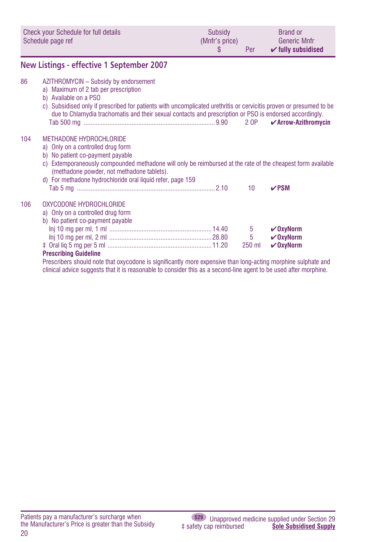<span id="page-19-0"></span>

| Check your Schedule for full details<br>Schedule page ref |                                                                                                                                                                                                                                                                                                                                         | Subsidy<br>(Mnfr's price)<br>\$ | Per              | <b>Brand or</b><br><b>Generic Mnfr</b><br>$\checkmark$ fully subsidised |
|-----------------------------------------------------------|-----------------------------------------------------------------------------------------------------------------------------------------------------------------------------------------------------------------------------------------------------------------------------------------------------------------------------------------|---------------------------------|------------------|-------------------------------------------------------------------------|
|                                                           | New Listings - effective 1 September 2007                                                                                                                                                                                                                                                                                               |                                 |                  |                                                                         |
| 86                                                        | AZITHROMYCIN - Subsidy by endorsement<br>a) Maximum of 2 tab per prescription<br>b) Available on a PSO<br>c) Subsidised only if prescribed for patients with uncomplicated urethritis or cervicitis proven or presumed to be<br>due to Chlamydia trachomatis and their sexual contacts and prescription or PSO is endorsed accordingly. |                                 |                  | $\boldsymbol{\checkmark}$ Arrow-Azithromycin                            |
| 104                                                       | METHADONE HYDROCHLORIDE<br>a) Only on a controlled drug form<br>b) No patient co-payment payable<br>c) Extemporaneously compounded methadone will only be reimbursed at the rate of the cheapest form available<br>(methadone powder, not methadone tablets).<br>d) For methadone hydrochloride oral liquid refer, page 159             |                                 | 10               | $\nu$ PSM                                                               |
| 106                                                       | OXYCODONE HYDROCHI ORIDE<br>a) Only on a controlled drug form<br>b) No patient co-payment payable<br><b>Prescribing Guideline</b>                                                                                                                                                                                                       |                                 | 5<br>5<br>250 ml | $\vee$ OxyNorm<br>$V$ OxyNorm<br>$\vee$ OxyNorm                         |

Prescribers should note that oxycodone is significantly more expensive than long-acting morphine sulphate and clinical advice suggests that it is reasonable to consider this as a second-line agent to be used after morphine.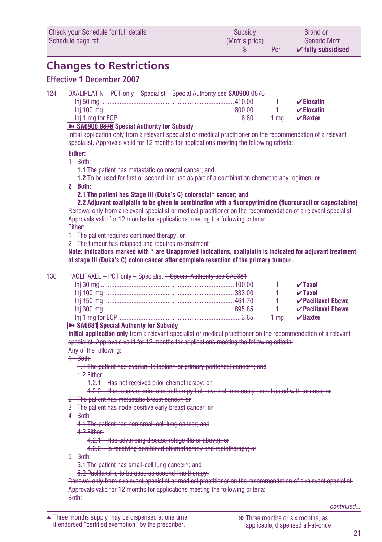<span id="page-20-0"></span>

| Check your Schedule for full details | Subsidy        | <b>Brand or</b>               |
|--------------------------------------|----------------|-------------------------------|
| Schedule page ref                    | (Mnfr's price) | <b>Generic Mnfr</b>           |
|                                      | Per            | $\checkmark$ fully subsidised |

## **Changes to Restrictions**

## **Effective 1 December 2007**

| 124 | OXALIPLATIN - PCT only - Specialist - Special Authority see <b>SA0900 0876</b>                                                                                                                                                                                      |                       |                 |
|-----|---------------------------------------------------------------------------------------------------------------------------------------------------------------------------------------------------------------------------------------------------------------------|-----------------------|-----------------|
|     |                                                                                                                                                                                                                                                                     |                       | $\vee$ Eloxatin |
|     |                                                                                                                                                                                                                                                                     | <b>Contract Terms</b> | $\vee$ Eloxatin |
|     |                                                                                                                                                                                                                                                                     |                       |                 |
|     | $\sim$ 0.000 $\sim$ 0.000 $\sim$ 0.000 $\sim$ 0.000 $\sim$ 0.000 $\sim$ 0.000 $\sim$ 0.000 $\sim$ 0.000 $\sim$ 0.000 $\sim$ 0.000 $\sim$ 0.000 $\sim$ 0.000 $\sim$ 0.000 $\sim$ 0.000 $\sim$ 0.000 $\sim$ 0.000 $\sim$ 0.000 $\sim$ 0.000 $\sim$ 0.000 $\sim$ 0.000 |                       |                 |

#### ➽ **SA0900 0876 Special Authority for Subsidy**

Initial application only from a relevant specialist or medical practitioner on the recommendation of a relevant specialist. Approvals valid for 12 months for applications meeting the following criteria:

#### **Either:**

#### **1** Both:

- **1.1** The patient has metastatic colorectal cancer; and
- **1.2** To be used for first or second line use as part of a combination chemotherapy regimen; **or**
- **2 Both:**

**2.1 The patient has Stage III (Duke's C) colorectal\* cancer; and**

 **2.2 Adjuvant oxaliplatin to be given in combination with a fluoropyrimidine (fluorouracil or capecitabine)** Renewal only from a relevant specialist or medical practitioner on the recommendation of a relevant specialist. Approvals valid for 12 months for applications meeting the following criteria: Either:

- 1 The patient requires continued therapy; or
- 2 The tumour has relapsed and requires re-treatment

**Note: Indications marked with \* are Unapproved Indications, oxaliplatin is indicated for adjuvant treatment of stage III (Duke's C) colon cancer after complete resection of the primary tumour.**

#### 130 PACLITAXEL – PCT only – Specialist <del>– Special Authority see SA0881</del>

|                                               |  | $\sqrt{2}$ Taxol        |
|-----------------------------------------------|--|-------------------------|
|                                               |  | $\sqrt{2}$ Taxol        |
|                                               |  | $\vee$ Paclitaxel Ebewe |
|                                               |  | 1 Paclitaxel Ebewe      |
|                                               |  |                         |
| <b>By OROOM Overlat Authority for Orleans</b> |  |                         |

#### ➽ **SA0881 Special Authority for Subsidy**

**Initial application only** from a relevant specialist or medical practitioner on the recommendation of a relevant specialist. Approvals valid for 12 months for applications meeting the following criteria: Any of the following:

- 1 Both:
	- 1.1 The patient has ovarian, fallopian\* or primary peritoneal cancer\*; and

1.2 Either:

1.2.1 Has not received prior chemotherapy; or

- 1.2.2 Has received prior chemotherapy but have not previously been treated with taxanes; or
- 2 The patient has metastatic breast cancer; or
- 3 The patient has node-positive early breast cancer; or
- 4 Both

4.1 The patient has non small-cell lung cancer; and

4.2 Either:

4.2.1 Has advancing disease (stage IIIa or above); or

4.2.2 Is receiving combined chemotherapy and radiotherapy; or

5 Both:

- 5.1 The patient has small-cell lung cancer\*; and
- 5.2 Paclitaxel is to be used as second-line therapy.

Renewal only from a relevant specialist or medical practitioner on the recommendation of a relevant specialist. Approvals valid for 12 months for applications meeting the following criteria: Both: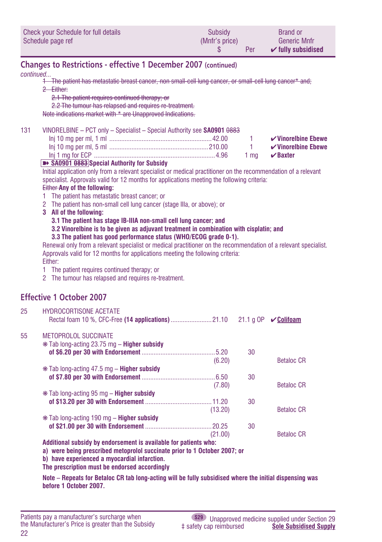<span id="page-21-0"></span>

| Check your Schedule for full details | Subsidy        | <b>Brand or</b>               |
|--------------------------------------|----------------|-------------------------------|
| Schedule page ref                    | (Mnfr's price) | <b>Generic Mnfr</b>           |
|                                      | Per            | $\checkmark$ fully subsidised |

## **Changes to Restrictions - effective 1 December 2007 (continued)**

#### *continued...*

- 1 The patient has metastatic breast cancer, non small-cell lung cancer, or small-cell lung cancer\* and; 2 Either:
	- 2.1 The patient requires continued therapy; or
	- 2.2 The tumour has relapsed and requires re-treatment.

Note indications market with \* are Unapproved Indications.

#### 131 VINORELBINE – PCT only – Specialist – Special Authority see **SA0901** 0883

| $\checkmark$ Vinorelbine Ebewe |  |  |
|--------------------------------|--|--|
| $\checkmark$ Vinorelbine Ebewe |  |  |
| 1 ma $\vee$ Baxter             |  |  |

#### ➽ **SA0901 0883 Special Authority for Subsidy**

Initial application only from a relevant specialist or medical practitioner on the recommendation of a relevant specialist. Approvals valid for 12 months for applications meeting the following criteria:

#### Either **Any of the following:**

- 1 The patient has metastatic breast cancer; or
- 2 The patient has non-small cell lung cancer (stage IIIa, or above); or
- **3 All of the following:**

**3.1 The patient has stage IB-IIIA non-small cell lung cancer; and**

**3.2 Vinorelbine is to be given as adjuvant treatment in combination with cisplatin; and**

#### **3.3 The patient has good performance status (WHO/ECOG grade 0-1).**

Renewal only from a relevant specialist or medical practitioner on the recommendation of a relevant specialist. Approvals valid for 12 months for applications meeting the following criteria: Either:

- 1 The patient requires continued therapy; or
- 2 The tumour has relapsed and requires re-treatment.

## **Effective 1 October 2007**

| 25 | <b>HYDROCORTISONE ACETATE</b>                                                                                   |    | $\sqrt{\text{Col}$ ifoam |
|----|-----------------------------------------------------------------------------------------------------------------|----|--------------------------|
| 55 | METOPROLOL SUCCINATE                                                                                            |    |                          |
|    | $*$ Tab long-acting 23.75 mg – <b>Higher subsidy</b>                                                            |    |                          |
|    |                                                                                                                 | 30 |                          |
|    | (6.20)                                                                                                          |    | Betaloc CR               |
|    | $*$ Tab long-acting 47.5 mg – <b>Higher subsidy</b>                                                             |    |                          |
|    |                                                                                                                 | 30 |                          |
|    | (7.80)                                                                                                          |    | Betaloc CR               |
|    | $*$ Tab long-acting 95 mg – <b>Higher subsidy</b>                                                               |    |                          |
|    |                                                                                                                 | 30 |                          |
|    | (13.20)                                                                                                         |    | Betaloc CR               |
|    | * Tab long-acting 190 mg – <b>Higher subsidy</b>                                                                |    |                          |
|    |                                                                                                                 | 30 |                          |
|    | (21.00)                                                                                                         |    | Betaloc CR               |
|    | the contract of the contract of the contract of the contract of the contract of the contract of the contract of |    |                          |

**Additional subsidy by endorsement is available for patients who:**

**a) were being prescribed metoprolol succinate prior to 1 October 2007; or**

**b) have experienced a myocardial infarction.**

**The prescription must be endorsed accordingly**

**Note – Repeats for Betaloc CR tab long-acting will be fully subsidised where the initial dispensing was before 1 October 2007.**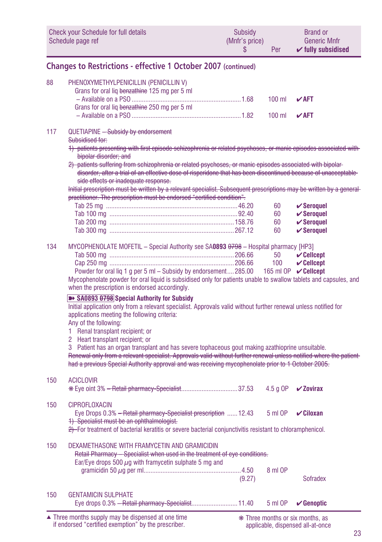<span id="page-22-0"></span>

|     | Check your Schedule for full details<br>Schedule page ref                                                                                                                                                                                                                                                                                                                                                                                                                                                                                                                                                                                                                                                                                                                                                                                                                                                                                                                         | Subsidy<br>(Mnfr's price)<br>\$ | Per        | <b>Brand or</b><br><b>Generic Mnfr</b><br>$\checkmark$ fully subsidised       |
|-----|-----------------------------------------------------------------------------------------------------------------------------------------------------------------------------------------------------------------------------------------------------------------------------------------------------------------------------------------------------------------------------------------------------------------------------------------------------------------------------------------------------------------------------------------------------------------------------------------------------------------------------------------------------------------------------------------------------------------------------------------------------------------------------------------------------------------------------------------------------------------------------------------------------------------------------------------------------------------------------------|---------------------------------|------------|-------------------------------------------------------------------------------|
|     | <b>Changes to Restrictions - effective 1 October 2007 (continued)</b>                                                                                                                                                                                                                                                                                                                                                                                                                                                                                                                                                                                                                                                                                                                                                                                                                                                                                                             |                                 |            |                                                                               |
| 88  | PHENOXYMETHYLPENICILLIN (PENICILLIN V)<br>Grans for oral liq benzathine 125 mg per 5 ml                                                                                                                                                                                                                                                                                                                                                                                                                                                                                                                                                                                                                                                                                                                                                                                                                                                                                           |                                 | $100$ ml   | $V$ AFT                                                                       |
|     | Grans for oral lig benzathine 250 mg per 5 ml                                                                                                                                                                                                                                                                                                                                                                                                                                                                                                                                                                                                                                                                                                                                                                                                                                                                                                                                     |                                 | $100$ ml   | $V$ AFT                                                                       |
| 117 | QUETIAPINE - Subsidy by endorsement<br>Subsidised for:<br>1) patients presenting with first episode schizophrenia or related psychoses, or manic episodes associated with<br>bipolar disorder; and<br>2) patients suffering from schizophrenia or related psychoses, or manic episodes associated with bipolar-<br>disorder, after a trial of an effective dose of risperidone that has been discontinued because of unacceptable<br>side effects or inadequate response.<br>Initial prescription must be written by a relevant specialist. Subsequent prescriptions may be written by a general<br>practitioner. The prescription must be endorsed "certified condition".                                                                                                                                                                                                                                                                                                        |                                 |            |                                                                               |
|     |                                                                                                                                                                                                                                                                                                                                                                                                                                                                                                                                                                                                                                                                                                                                                                                                                                                                                                                                                                                   |                                 | 60         | $\checkmark$ Seroquel                                                         |
|     |                                                                                                                                                                                                                                                                                                                                                                                                                                                                                                                                                                                                                                                                                                                                                                                                                                                                                                                                                                                   |                                 | 60         | $\checkmark$ Seroquel                                                         |
|     |                                                                                                                                                                                                                                                                                                                                                                                                                                                                                                                                                                                                                                                                                                                                                                                                                                                                                                                                                                                   |                                 | 60         | $\checkmark$ Seroquel                                                         |
|     |                                                                                                                                                                                                                                                                                                                                                                                                                                                                                                                                                                                                                                                                                                                                                                                                                                                                                                                                                                                   |                                 | 60         | $\checkmark$ Seroquel                                                         |
| 134 | MYCOPHENOLATE MOFETIL - Special Authority see SA0893 0798 - Hospital pharmacy [HP3]<br>Powder for oral lig 1 g per 5 ml - Subsidy by endorsement285.00<br>Mycophenolate powder for oral liquid is subsidised only for patients unable to swallow tablets and capsules, and<br>when the prescription is endorsed accordingly.<br>>> SA0893 0798 Special Authority for Subsidy<br>Initial application only from a relevant specialist. Approvals valid without further renewal unless notified for<br>applications meeting the following criteria:<br>Any of the following:<br>1 Renal transplant recipient; or<br>2 Heart transplant recipient; or<br>3 Patient has an organ transplant and has severe tophaceous gout making azathioprine unsuitable.<br>Renewal only from a relevant specialist. Approvals valid without further renewal unless notified where the patient<br>had a previous Special Authority approval and was receiving mycophenolate prior to 1 October 2005. |                                 | 50<br>100  | $\mathcal V$ Cellcept<br>$\mathcal V$ Cellcept<br>165 ml OP <b>√ Cellcept</b> |
| 150 | <b>ACICLOVIR</b>                                                                                                                                                                                                                                                                                                                                                                                                                                                                                                                                                                                                                                                                                                                                                                                                                                                                                                                                                                  |                                 | $4.5$ g OP | $\boldsymbol{\checkmark}$ Zovirax                                             |
| 150 | <b>CIPROFLOXACIN</b><br>Eye Drops 0.3% - Retail pharmacy-Specialist prescription  12.43<br>1) Specialist must be an ophthalmologist.<br>2) For treatment of bacterial keratitis or severe bacterial conjunctivitis resistant to chloramphenicol.                                                                                                                                                                                                                                                                                                                                                                                                                                                                                                                                                                                                                                                                                                                                  |                                 | 5 ml OP    | $\checkmark$ Ciloxan                                                          |
| 150 | DEXAMETHASONE WITH FRAMYCETIN AND GRAMICIDIN<br>Retail Pharmacy - Specialist when used in the treatment of eve conditions.<br>Ear/Eye drops 500 $\mu$ g with framycetin sulphate 5 mg and                                                                                                                                                                                                                                                                                                                                                                                                                                                                                                                                                                                                                                                                                                                                                                                         | (9.27)                          | 8 ml OP    | Sofradex                                                                      |
| 150 | <b>GENTAMICIN SUI PHATE</b><br>Eye drops 0.3% - Retail pharmacy-Specialist 11.40                                                                                                                                                                                                                                                                                                                                                                                                                                                                                                                                                                                                                                                                                                                                                                                                                                                                                                  |                                 | 5 ml OP    | $\mathcal V$ Genoptic                                                         |

applicable, dispensed all-at-once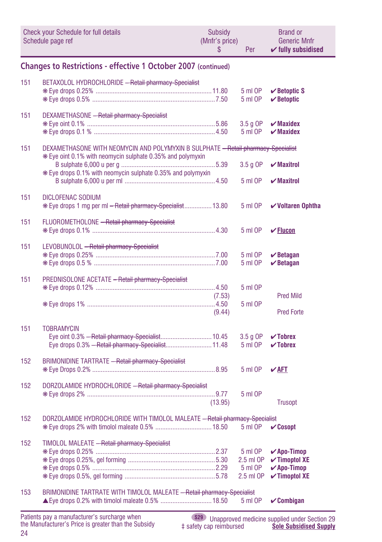<span id="page-23-0"></span>

|     | Check your Schedule for full details<br>Schedule page ref                                                                                       | Subsidy<br>(Mnfr's price)<br>S | Per                                          | <b>Brand or</b><br><b>Generic Mnfr</b><br>$\checkmark$ fully subsidised                                           |
|-----|-------------------------------------------------------------------------------------------------------------------------------------------------|--------------------------------|----------------------------------------------|-------------------------------------------------------------------------------------------------------------------|
|     | <b>Changes to Restrictions - effective 1 October 2007 (continued)</b>                                                                           |                                |                                              |                                                                                                                   |
| 151 | BETAXOLOL HYDROCHLORIDE - Retail pharmacy-Specialist                                                                                            |                                | 5 ml OP<br>5 ml OP                           | $\vee$ Betoptic S<br>$\vee$ Betoptic                                                                              |
| 151 | DEXAMETHASONE - Retail pharmacy-Specialist                                                                                                      |                                | 3.5 g OP<br>5 ml OP                          | $\boldsymbol{\nu}$ Maxidex<br>$\boldsymbol{\nu}$ Maxidex                                                          |
| 151 | DEXAMETHASONE WITH NEOMYCIN AND POLYMYXIN B SULPHATE - Retail pharmacy-Specialist<br>* Eye oint 0.1% with neomycin sulphate 0.35% and polymyxin |                                |                                              |                                                                                                                   |
|     | * Eye drops 0.1% with neomycin sulphate 0.35% and polymyxin                                                                                     |                                | $3.5g$ OP<br>5 ml OP                         | $\boldsymbol{\mathsf{v}}$ Maxitrol<br>$\boldsymbol{\mathsf{v}}$ Maxitrol                                          |
| 151 | <b>DICLOFENAC SODIUM</b>                                                                                                                        |                                |                                              |                                                                                                                   |
| 151 | * Eye drops 1 mg per ml - Retail pharmacy-Specialist 13.80<br>FLUOROMETHOLONE - Retail pharmacy-Specialist                                      |                                | 5 ml OP                                      | $\checkmark$ Voltaren Ophtha                                                                                      |
| 151 | LEVOBUNOLOL - Retail pharmacy-Specialist                                                                                                        |                                | 5 ml OP                                      | $\sqrt{\text{Flucon}}$                                                                                            |
|     |                                                                                                                                                 |                                | 5 ml OP<br>5 ml OP                           | $\vee$ Betagan<br>$\vee$ Betagan                                                                                  |
| 151 | PREDNISOLONE ACETATE - Retail pharmacy-Specialist                                                                                               |                                | 5 ml OP                                      |                                                                                                                   |
|     |                                                                                                                                                 | (7.53)<br>(9.44)               | 5 ml OP                                      | <b>Pred Mild</b><br><b>Pred Forte</b>                                                                             |
| 151 | <b>TOBRAMYCIN</b>                                                                                                                               |                                |                                              |                                                                                                                   |
|     | Eye oint 0.3% - Retail pharmacy-Specialist 10.45<br>Eye drops 0.3% - Retail pharmacy-Specialist 11.48                                           |                                | $3.5$ g OP<br>5 ml OP                        | $\checkmark$ Tobrex<br>$\checkmark$ Tobrex                                                                        |
| 152 | <b>BRIMONIDINE TARTRATE - Retail pharmacy-Specialist</b>                                                                                        |                                | 5 ml OP                                      | $\sqrt{AFI}$                                                                                                      |
| 152 | DORZOLAMIDE HYDROCHLORIDE - Retail pharmacy-Specialist                                                                                          |                                | 5 ml OP                                      |                                                                                                                   |
| 152 | DORZOLAMIDE HYDROCHLORIDE WITH TIMOLOL MALEATE - Retail pharmacy-Specialist                                                                     | (13.95)                        |                                              | <b>Trusopt</b>                                                                                                    |
|     |                                                                                                                                                 |                                |                                              | 5 ml OP <b>√Cosopt</b>                                                                                            |
| 152 | TIMOLOL MALEATE - Retail pharmacy-Specialist                                                                                                    |                                | 5 ml OP<br>2.5 ml OP<br>5 ml OP<br>2.5 ml OP | $\sqrt{Apo-Timop}$<br>$\checkmark$ Timoptol XE<br>$\boldsymbol{\checkmark}$ Apo-Timop<br>$\checkmark$ Timoptol XE |
| 153 | BRIMONIDINE TARTRATE WITH TIMOLOL MALEATE - Retail pharmacy-Specialist                                                                          |                                | 5 ml OP                                      | $\checkmark$ Combigan                                                                                             |
|     | tooturer's sureborge when                                                                                                                       |                                |                                              |                                                                                                                   |

**S29** Unapproved medicine supplied under Section 29 ‡ safety cap reimbursed **Sole Subsidised Supply**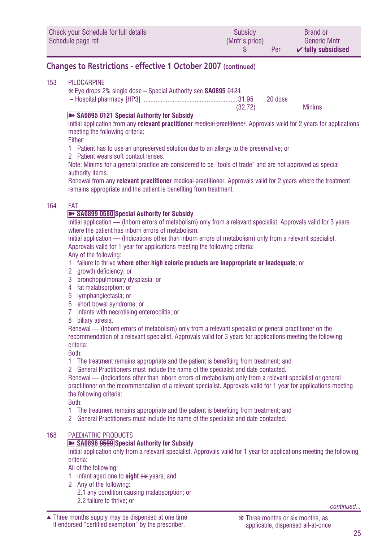<span id="page-24-0"></span>

| Check your Schedule for full details | Subsidy        | <b>Brand or</b>               |
|--------------------------------------|----------------|-------------------------------|
| Schedule page ref                    | (Mnfr's price) | <b>Generic Mnfr</b>           |
|                                      | Per            | $\checkmark$ fully subsidised |

## **Changes to Restrictions - effective 1 October 2007 (continued)**

#### 153 PILOCARPINE

❋ Eye drops 2% single dose – Special Authority see **SA0895** 0121

– Hospital pharmacy [HP3] .......................................................31.95 20 dose

(32.72) Minims

#### ➽ **SA0895 0121 Special Authority for Subsidy**

Initial application from any **relevant practitioner** medical practitioner. Approvals valid for 2 years for applications meeting the following criteria:

Either:

1 Patient has to use an unpreserved solution due to an allergy to the preservative; or

2 Patient wears soft contact lenses.

Note: Minims for a general practice are considered to be "tools of trade" and are not approved as special authority items.

Renewal from any **relevant practitioner** medical practitioner. Approvals valid for 2 years where the treatment remains appropriate and the patient is benefiting from treatment.

#### 164 FAT

#### **■** SA0899 0580 Special Authority for Subsidy

Initial application — (Inborn errors of metabolism) only from a relevant specialist. Approvals valid for 3 years where the patient has inborn errors of metabolism.

Initial application — (Indications other than inborn errors of metabolism) only from a relevant specialist. Approvals valid for 1 year for applications meeting the following criteria:

Any of the following:

- 1 failure to thrive **where other high calorie products are inappropriate or inadequate**; or
- 2 arowth deficiency; or
- 3 bronchopulmonary dysplasia; or
- 4 fat malabsorption; or
- 5 lymphangiectasia; or
- 6 short bowel syndrome; or
- 7 infants with necrotising enterocolitis; or
- 8 biliary atresia.

Renewal — (Inborn errors of metabolism) only from a relevant specialist or general practitioner on the recommendation of a relevant specialist. Approvals valid for 3 years for applications meeting the following criteria:

Both:

- 1 The treatment remains appropriate and the patient is benefiting from treatment; and
- 2 General Practitioners must include the name of the specialist and date contacted.

Renewal — (Indications other than inborn errors of metabolism) only from a relevant specialist or general practitioner on the recommendation of a relevant specialist. Approvals valid for 1 year for applications meeting the following criteria:

Both:

- 1 The treatment remains appropriate and the patient is benefiting from treatment; and
- 2 General Practitioners must include the name of the specialist and date contacted.

#### 168 PAEDIATRIC PRODUCTS

#### ➽ **SA0896 0590 Special Authority for Subsidy**

Initial application only from a relevant specialist. Approvals valid for 1 year for applications meeting the following criteria:

All of the following:

- 1 infant aged one to **eight** six years; and
- 2 Any of the following: 2.1 any condition causing malabsorption; or
- 2.2 failure to thrive; or *continued...*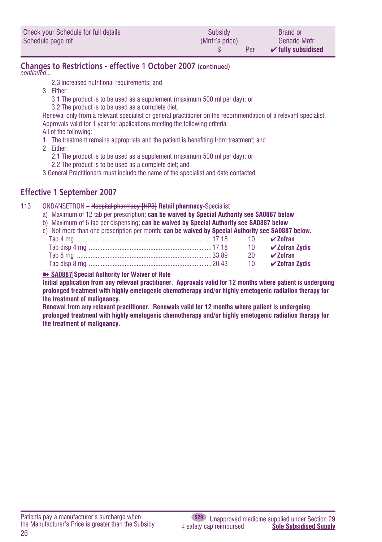<span id="page-25-0"></span>

| Check your Schedule for full details | Subsidy        | <b>Brand or</b>               |
|--------------------------------------|----------------|-------------------------------|
| Schedule page ref                    | (Mnfr's price) | <b>Generic Mnfr</b>           |
|                                      | Per            | $\checkmark$ fully subsidised |

## **Changes to Restrictions - effective 1 October 2007 (continued)**

*continued...*

- 2.3 increased nutritional requirements; and
- 3 Either:
	- 3.1 The product is to be used as a supplement (maximum 500 ml per day); or
	- 3.2 The product is to be used as a complete diet.

Renewal only from a relevant specialist or general practitioner on the recommendation of a relevant specialist. Approvals valid for 1 year for applications meeting the following criteria:

All of the following:

1 The treatment remains appropriate and the patient is benefiting from treatment; and

2 Either:

- 2.1 The product is to be used as a supplement (maximum 500 ml per day); or
- 2.2 The product is to be used as a complete diet; and
- 3 General Practitioners must include the name of the specialist and date contacted.

## **Effective 1 September 2007**

#### 113 ONDANSETRON – Hospital pharmacy [HP3] **Retail pharmacy-**Specialist

- a) Maximum of 12 tab per prescription**; can be waived by Special Authority see SA0887 below**
- b) Maximum of 6 tab per dispensing**; can be waived by Special Authority see SA0887 below**
- c) Not more than one prescription per month**; can be waived by Special Authority see SA0887 below.**

|  |  | 10 <b>∠ Zofran Zvdis</b> |
|--|--|--------------------------|
|  |  | 20 $\sqrt{2}$ ofran      |
|  |  |                          |
|  |  |                          |

#### **■** SA0887 Special Authority for Waiver of Rule

**Initial application from any relevant practitioner. Approvals valid for 12 months where patient is undergoing prolonged treatment with highly emetogenic chemotherapy and/or highly emetogenic radiation therapy for the treatment of malignancy.**

**Renewal from any relevant practitioner. Renewals valid for 12 months where patient is undergoing prolonged treatment with highly emetogenic chemotherapy and/or highly emetogenic radiation therapy for the treatment of malignancy.**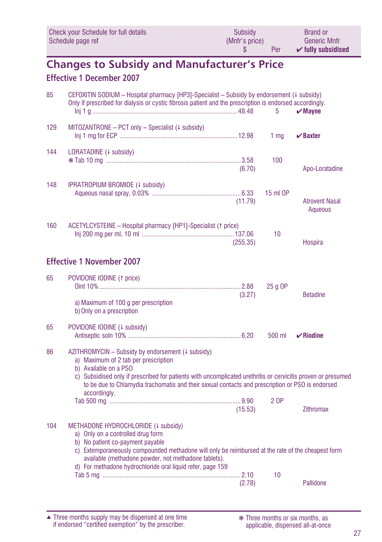<span id="page-26-0"></span>

| Check your Schedule for full details | Subsidy        | Brand or                      |
|--------------------------------------|----------------|-------------------------------|
| Schedule page ref                    | (Mnfr's price) | <b>Generic Mnfr</b>           |
|                                      | Per            | $\checkmark$ fully subsidised |

## **Changes to Subsidy and Manufacturer's Price Effective 1 December 2007**

| 85  | CEFOXITIN SODIUM - Hospital pharmacy [HP3]-Specialist - Subsidy by endorsement (4 subsidy)<br>Only if prescribed for dialysis or cystic fibrosis patient and the prescription is endorsed accordingly.                                                                                                                                                 |          | 5               | $\boldsymbol{\nu}$ Mavne         |
|-----|--------------------------------------------------------------------------------------------------------------------------------------------------------------------------------------------------------------------------------------------------------------------------------------------------------------------------------------------------------|----------|-----------------|----------------------------------|
| 129 | $MITOZANTRONE – PCT only – Specialist (4 subsidy)$                                                                                                                                                                                                                                                                                                     |          | 1 <sub>ma</sub> | $\vee$ Baxter                    |
| 144 | LORATADINE (+ subsidy)                                                                                                                                                                                                                                                                                                                                 | (6.70)   | 100             | Apo-Loratadine                   |
| 148 | IPRATROPIUM BROMIDE (4 subsidy)                                                                                                                                                                                                                                                                                                                        | (11.79)  | 15 ml OP        | <b>Atrovent Nasal</b><br>Aqueous |
| 160 | ACETYLCYSTEINE - Hospital pharmacy [HP1]-Specialist († price)                                                                                                                                                                                                                                                                                          | (255.35) | 10              | Hospira                          |
|     | <b>Effective 1 November 2007</b>                                                                                                                                                                                                                                                                                                                       |          |                 |                                  |
| 65  | POVIDONE IODINE (1 price)<br>a) Maximum of 100 q per prescription                                                                                                                                                                                                                                                                                      | (3.27)   | 25 g OP         | <b>Betadine</b>                  |
|     | b) Only on a prescription                                                                                                                                                                                                                                                                                                                              |          |                 |                                  |
| 65  | POVIDONE IODINE (+ subsidy)                                                                                                                                                                                                                                                                                                                            |          | 500 ml          | $\mathbf{v}$ Riodine             |
| 86  | AZITHROMYCIN - Subsidy by endorsement (+ subsidy)<br>a) Maximum of 2 tab per prescription<br>b) Available on a PSO<br>c) Subsidised only if prescribed for patients with uncomplicated urethritis or cervicitis proven or presumed<br>to be due to Chlamydia trachomatis and their sexual contacts and prescription or PSO is endorsed<br>accordingly. |          | 2 OP            |                                  |
|     |                                                                                                                                                                                                                                                                                                                                                        | (15.53)  |                 | <b>Zithromax</b>                 |
| 104 | METHADONE HYDROCHLORIDE (+ subsidy)<br>a) Only on a controlled drug form<br>b) No patient co-payment payable<br>c) Extemporaneously compounded methadone will only be reimbursed at the rate of the cheapest form<br>available (methadone powder, not methadone tablets).<br>d) For methadone hydrochloride oral liquid refer, page 159                |          | 10              |                                  |
|     |                                                                                                                                                                                                                                                                                                                                                        | (2.78)   |                 | Pallidone                        |

Three months supply may be dispensed at one time if endorsed "certified exemption" by the prescriber. ▲ ❋ Three months or six months, as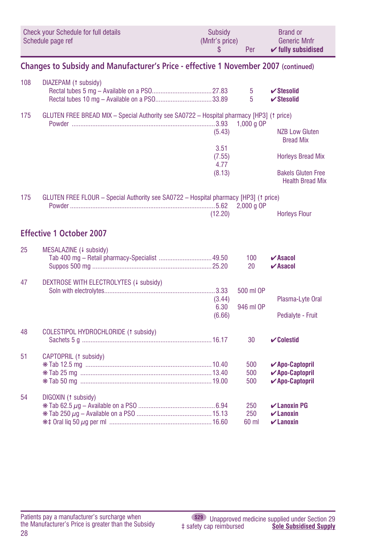<span id="page-27-0"></span>

|     | Check your Schedule for full details<br>Schedule page ref                                | Subsidy<br>(Mnfr's price)<br>\$ | Per                 | <b>Brand or</b><br><b>Generic Mnfr</b><br>$\checkmark$ fully subsidised                                                       |
|-----|------------------------------------------------------------------------------------------|---------------------------------|---------------------|-------------------------------------------------------------------------------------------------------------------------------|
|     | Changes to Subsidy and Manufacturer's Price - effective 1 November 2007 (continued)      |                                 |                     |                                                                                                                               |
| 108 | DIAZEPAM (1 subsidy)                                                                     |                                 | 5<br>5              | $\checkmark$ Stesolid<br>$\checkmark$ Stesolid                                                                                |
| 175 | GLUTEN FREE BREAD MIX - Special Authority see SA0722 - Hospital pharmacy [HP3] (1 price) |                                 | 1,000 g OP          |                                                                                                                               |
|     |                                                                                          | (5.43)                          |                     | <b>NZB Low Gluten</b><br><b>Bread Mix</b>                                                                                     |
|     |                                                                                          | 3.51<br>(7.55)<br>4.77          |                     | <b>Horleys Bread Mix</b>                                                                                                      |
|     |                                                                                          | (8.13)                          |                     | <b>Bakels Gluten Free</b><br><b>Health Bread Mix</b>                                                                          |
| 175 | GLUTEN FREE FLOUR - Special Authority see SA0722 - Hospital pharmacy [HP3] (1 price)     | (12.20)                         | $2.000a$ OP         | <b>Horleys Flour</b>                                                                                                          |
|     | <b>Effective 1 October 2007</b>                                                          |                                 |                     |                                                                                                                               |
| 25  | MESALAZINE (+ subsidy)                                                                   |                                 | 100<br>20           | $\boldsymbol{\mathsf{v}}$ Asacol<br>$\boldsymbol{\nu}$ Asacol                                                                 |
| 47  | DEXTROSE WITH ELECTROLYTES (+ subsidy)                                                   |                                 | 500 ml OP           |                                                                                                                               |
|     |                                                                                          | (3.44)<br>6.30                  | 946 ml OP           | Plasma-Lyte Oral                                                                                                              |
| 48  | COLESTIPOL HYDROCHLORIDE (1 subsidy)                                                     | (6.66)                          |                     | Pedialyte - Fruit                                                                                                             |
|     |                                                                                          |                                 | 30                  | $\mathcal V$ Colestid                                                                                                         |
| 51  | CAPTOPRIL (1 subsidy)                                                                    |                                 | 500<br>500<br>500   | $\boldsymbol{\checkmark}$ Apo-Captopril<br>$\boldsymbol{\checkmark}$ Apo-Captopril<br>$\boldsymbol{\checkmark}$ Apo-Captopril |
| 54  | DIGOXIN (1 subsidy)                                                                      |                                 | 250<br>250<br>60 ml | $\mathcal{V}$ Lanoxin PG<br>$\boldsymbol{\nu}$ Lanoxin<br>$\boldsymbol{\nu}$ Lanoxin                                          |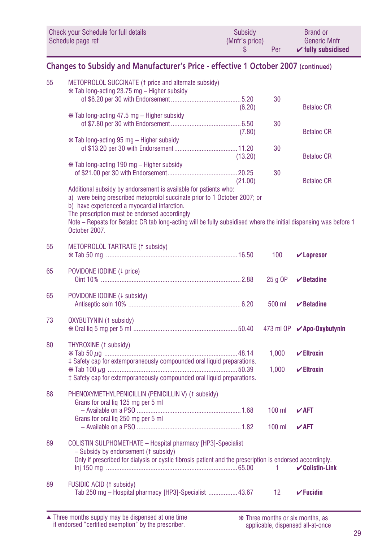<span id="page-28-0"></span>

| Check your Schedule for full details | Subsidy        | <b>Brand or</b>               |
|--------------------------------------|----------------|-------------------------------|
| Schedule page ref                    | (Mnfr's price) | <b>Generic Mnfr</b>           |
|                                      | Per            | $\checkmark$ fully subsidised |

## **Changes to Subsidy and Manufacturer's Price - effective 1 October 2007 (continued)**

| 55 | METOPROLOL SUCCINATE (1 price and alternate subsidy)<br>* Tab long-acting 23.75 mg - Higher subsidy                                                                                                                                                                                                                                                                                 |         |          |                                    |
|----|-------------------------------------------------------------------------------------------------------------------------------------------------------------------------------------------------------------------------------------------------------------------------------------------------------------------------------------------------------------------------------------|---------|----------|------------------------------------|
|    |                                                                                                                                                                                                                                                                                                                                                                                     | (6.20)  | 30       | <b>Betaloc CR</b>                  |
|    | * Tab long-acting 47.5 mg - Higher subsidy                                                                                                                                                                                                                                                                                                                                          | (7.80)  | 30       | <b>Betaloc CR</b>                  |
|    | * Tab long-acting 95 mg – Higher subsidy                                                                                                                                                                                                                                                                                                                                            | (13.20) | 30       | <b>Betaloc CR</b>                  |
|    | * Tab long-acting 190 mg - Higher subsidy                                                                                                                                                                                                                                                                                                                                           |         | 30       |                                    |
|    | Additional subsidy by endorsement is available for patients who:<br>a) were being prescribed metoprolol succinate prior to 1 October 2007; or<br>b) have experienced a myocardial infarction.<br>The prescription must be endorsed accordingly<br>Note – Repeats for Betaloc CR tab long-acting will be fully subsidised where the initial dispensing was before 1<br>October 2007. | (21.00) |          | <b>Betaloc CR</b>                  |
| 55 | METOPROLOL TARTRATE (1 subsidy)                                                                                                                                                                                                                                                                                                                                                     |         | 100      | $\mathbf{v}$ Lopresor              |
| 65 | POVIDONE IODINE (4 price)                                                                                                                                                                                                                                                                                                                                                           |         | $25q$ OP | $\boldsymbol{\checkmark}$ Betadine |
| 65 | POVIDONE IODINE (4 subsidy)                                                                                                                                                                                                                                                                                                                                                         |         | 500 ml   | $\boldsymbol{\nu}$ Betadine        |
| 73 | OXYBUTYNIN (1 subsidy)                                                                                                                                                                                                                                                                                                                                                              |         |          | 473 ml OP <b>∕Apo-Oxybutynin</b>   |
| 80 | THYROXINE (1 subsidy)<br>‡ Safety cap for extemporaneously compounded oral liquid preparations.                                                                                                                                                                                                                                                                                     |         | 1,000    | $\checkmark$ Eltroxin              |
|    | ‡ Safety cap for extemporaneously compounded oral liquid preparations.                                                                                                                                                                                                                                                                                                              |         | 1,000    | $\checkmark$ Eltroxin              |
| 88 | PHENOXYMETHYLPENICILLIN (PENICILLIN V) (1 subsidy)<br>Grans for oral liq 125 mg per 5 ml                                                                                                                                                                                                                                                                                            |         | $100$ ml | $\sqrt{AFT}$                       |
|    | Grans for oral lig 250 mg per 5 ml                                                                                                                                                                                                                                                                                                                                                  |         | $100$ ml | $V$ AFT                            |
| 89 | COLISTIN SULPHOMETHATE - Hospital pharmacy [HP3]-Specialist<br>- Subsidy by endorsement (1 subsidy)<br>Only if prescribed for dialysis or cystic fibrosis patient and the prescription is endorsed accordingly.                                                                                                                                                                     |         | 1        | $\checkmark$ Colistin-Link         |
| 89 | FUSIDIC ACID (1 subsidy)<br>Tab 250 mg - Hospital pharmacy [HP3]-Specialist  43.67                                                                                                                                                                                                                                                                                                  |         | 12       | $\checkmark$ Fucidin               |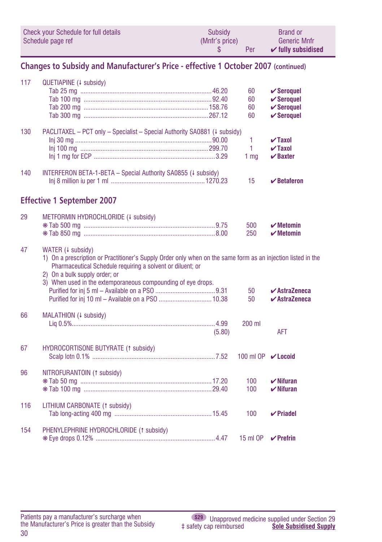|     | Check your Schedule for full details<br>Schedule page ref                                                                                                                                                                                                                                        | Subsidy<br>(Mnfr's price)<br>\$ | Per                       | <b>Brand or</b><br><b>Generic Mnfr</b><br>$\checkmark$ fully subsidised                          |
|-----|--------------------------------------------------------------------------------------------------------------------------------------------------------------------------------------------------------------------------------------------------------------------------------------------------|---------------------------------|---------------------------|--------------------------------------------------------------------------------------------------|
|     | Changes to Subsidy and Manufacturer's Price - effective 1 October 2007 (continued)                                                                                                                                                                                                               |                                 |                           |                                                                                                  |
| 117 | QUETIAPINE (+ subsidy)                                                                                                                                                                                                                                                                           |                                 | 60<br>60<br>60<br>60      | $\checkmark$ Seroquel<br>$\checkmark$ Seroquel<br>$\checkmark$ Seroquel<br>$\checkmark$ Seroquel |
| 130 | PACLITAXEL - PCT only - Specialist - Special Authority SA0881 (# subsidy)                                                                                                                                                                                                                        |                                 | 1<br>1<br>1 <sub>mq</sub> | $\sqrt{}$ Taxol<br>$\sqrt{}$ Taxol<br>$\boldsymbol{\nu}$ Baxter                                  |
| 140 | INTERFERON BETA-1-BETA - Special Authority SA0855 (4 subsidy)                                                                                                                                                                                                                                    |                                 | 15                        | $\mathbf{\nabla}$ Betaferon                                                                      |
|     | <b>Effective 1 September 2007</b>                                                                                                                                                                                                                                                                |                                 |                           |                                                                                                  |
| 29  | METFORMIN HYDROCHLORIDE (4 subsidy)                                                                                                                                                                                                                                                              |                                 | 500<br>250                | $\boldsymbol{\mathcal{V}}$ Metomin<br>$\boldsymbol{\mathsf{v}}$ Metomin                          |
| 47  | WATER (4 subsidy)<br>1) On a prescription or Practitioner's Supply Order only when on the same form as an injection listed in the<br>Pharmaceutical Schedule requiring a solvent or diluent; or<br>2) On a bulk supply order; or<br>3) When used in the extemporaneous compounding of eye drops. |                                 | 50                        | $\boldsymbol{\checkmark}$ AstraZeneca                                                            |
| 66  | MALATHION (+ subsidy)                                                                                                                                                                                                                                                                            | (5.80)                          | 50<br>200 ml              | $\boldsymbol{\checkmark}$ AstraZeneca<br>AFT                                                     |
| 67  | HYDROCORTISONE BUTYRATE (1 subsidy)                                                                                                                                                                                                                                                              |                                 | 100 ml OP <b>∠ Locoid</b> |                                                                                                  |
| 96  | NITROFURANTOIN (1 subsidy)                                                                                                                                                                                                                                                                       |                                 | 100<br>100                | $\boldsymbol{\checkmark}$ Nifuran<br>$\boldsymbol{\nu}$ Nifuran                                  |
| 116 | LITHIUM CARBONATE (1 subsidy)                                                                                                                                                                                                                                                                    |                                 | 100                       | $\vee$ Priadel                                                                                   |
| 154 | PHENYLEPHRINE HYDROCHLORIDE (1 subsidy)                                                                                                                                                                                                                                                          |                                 | 15 ml OP                  | $\vee$ Prefrin                                                                                   |

<span id="page-29-0"></span> $\sim$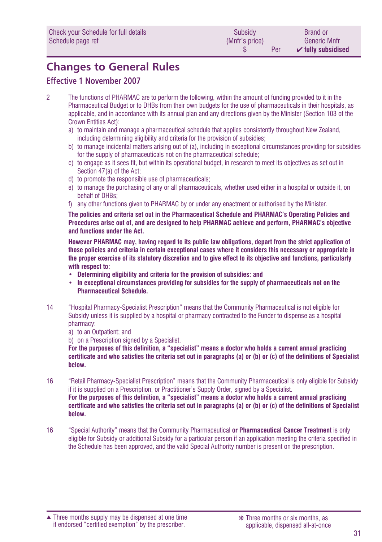# <span id="page-30-0"></span>**Changes to General Rules**

## **Effective 1 November 2007**

- 2 The functions of PHARMAC are to perform the following, within the amount of funding provided to it in the Pharmaceutical Budget or to DHBs from their own budgets for the use of pharmaceuticals in their hospitals, as applicable, and in accordance with its annual plan and any directions given by the Minister (Section 103 of the Crown Entities Act):
	- a) to maintain and manage a pharmaceutical schedule that applies consistently throughout New Zealand, including determining eligibility and criteria for the provision of subsidies;
	- b) to manage incidental matters arising out of (a), including in exceptional circumstances providing for subsidies for the supply of pharmaceuticals not on the pharmaceutical schedule:
	- c) to engage as it sees fit, but within its operational budget, in research to meet its objectives as set out in Section 47(a) of the Act;
	- d) to promote the responsible use of pharmaceuticals;
	- e) to manage the purchasing of any or all pharmaceuticals, whether used either in a hospital or outside it, on behalf of DHBs;
	- f) any other functions given to PHARMAC by or under any enactment or authorised by the Minister.

**The policies and criteria set out in the Pharmaceutical Schedule and PHARMAC's Operating Policies and Procedures arise out of, and are designed to help PHARMAC achieve and perform, PHARMAC's objective and functions under the Act.**

**However PHARMAC may, having regard to its public law obligations, depart from the strict application of those policies and criteria in certain exceptional cases where it considers this necessary or appropriate in the proper exercise of its statutory discretion and to give effect to its objective and functions, particularly with respect to:**

- **• Determining eligibility and criteria for the provision of subsidies: and**
- **• In exceptional circumstances providing for subsidies for the supply of pharmaceuticals not on the Pharmaceutical Schedule.**
- 14 "Hospital Pharmacy-Specialist Prescription" means that the Community Pharmaceutical is not eligible for Subsidy unless it is supplied by a hospital or pharmacy contracted to the Funder to dispense as a hospital pharmacy:
	- a) to an Outpatient; and

b) on a Prescription signed by a Specialist.

**For the purposes of this definition, a "specialist" means a doctor who holds a current annual practicing** certificate and who satisfies the criteria set out in paragraphs (a) or (b) or (c) of the definitions of Specialist **below.**

- 16 "Retail Pharmacy-Specialist Prescription" means that the Community Pharmaceutical is only eligible for Subsidy if it is supplied on a Prescription, or Practitioner's Supply Order, signed by a Specialist. **For the purposes of this definition, a "specialist" means a doctor who holds a current annual practicing** certificate and who satisfies the criteria set out in paragraphs (a) or (b) or (c) of the definitions of Specialist **below.**
- 16 "Special Authority" means that the Community Pharmaceutical **or Pharmaceutical Cancer Treatment** is only eligible for Subsidy or additional Subsidy for a particular person if an application meeting the criteria specified in the Schedule has been approved, and the valid Special Authority number is present on the prescription.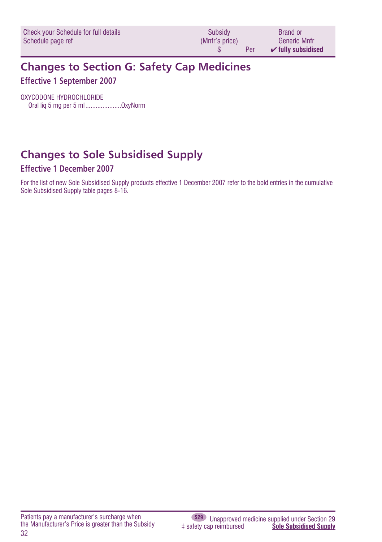<span id="page-31-0"></span>

| Check your Schedule for full details | Subsidy        | <b>Brand or</b>               |
|--------------------------------------|----------------|-------------------------------|
| Schedule page ref                    | (Mnfr's price) | Generic Mnfr                  |
|                                      | Per            | $\mathcal V$ fully subsidised |

## **Changes to Section G: Safety Cap Medicines Effective 1 September 2007**

OXYCODONE HYDROCHLORIDE Oral liq 5 mg per 5 ml.....................OxyNorm

# **Changes to Sole Subsidised Supply**

## **Effective 1 December 2007**

For the list of new Sole Subsidised Supply products effective 1 December 2007 refer to the bold entries in the cumulative Sole Subsidised Supply table pages 8-16.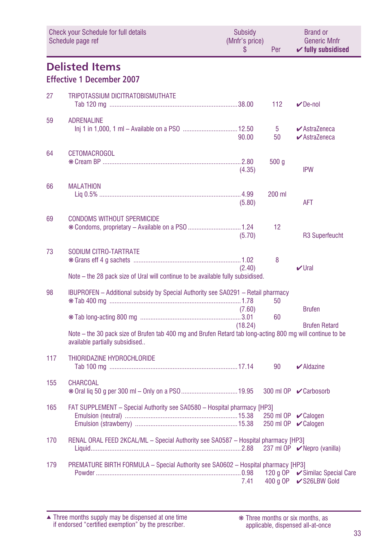<span id="page-32-0"></span>

|     | <b>Check your Schedule for full details</b><br>Schedule page ref                                                                            |         | (Mnfr's price)<br>Per | <b>Brand or</b><br><b>Generic Mnfr</b><br>$\checkmark$ fully subsidised |
|-----|---------------------------------------------------------------------------------------------------------------------------------------------|---------|-----------------------|-------------------------------------------------------------------------|
|     | <b>Delisted Items</b><br><b>Effective 1 December 2007</b>                                                                                   |         |                       |                                                                         |
| 27  | TRIPOTASSIUM DICITRATOBISMUTHATE                                                                                                            |         | 112                   | $\nu$ De-nol                                                            |
| 59  | <b>ADRENALINE</b>                                                                                                                           | 90.00   | $5^{\circ}$<br>50     | $\blacktriangleright$ AstraZeneca<br>$\blacktriangleright$ AstraZeneca  |
| 64  | <b>CETOMACROGOL</b>                                                                                                                         | (4.35)  | 500 <sub>g</sub>      | <b>IPW</b>                                                              |
| 66  | <b>MALATHION</b>                                                                                                                            | (5.80)  | 200 ml                | AFT                                                                     |
| 69  | <b>CONDOMS WITHOUT SPERMICIDE</b><br>* Condoms, proprietary - Available on a PSO  1.24                                                      | (5.70)  | 12                    | R3 Superfeucht                                                          |
| 73  | SODIUM CITRO-TARTRATE<br>Note - the 28 pack size of Ural will continue to be available fully subsidised.                                    | (2.40)  | 8                     | $V$ Ural                                                                |
| 98  | IBUPROFEN - Additional subsidy by Special Authority see SA0291 - Retail pharmacy                                                            | (7.60)  | 50                    | <b>Brufen</b>                                                           |
|     | Note - the 30 pack size of Brufen tab 400 mg and Brufen Retard tab long-acting 800 mg will continue to be<br>available partially subsidised | (18.24) | 60                    | <b>Brufen Retard</b>                                                    |
| 117 | THIORIDAZINE HYDROCHLORIDE                                                                                                                  |         | 90                    | $\blacktriangleright$ Aldazine                                          |
| 155 | <b>CHARCOAL</b>                                                                                                                             |         |                       | 300 ml OP ✔ Carbosorb                                                   |
| 165 | FAT SUPPLEMENT - Special Authority see SA0580 - Hospital pharmacy [HP3]                                                                     |         |                       | 250 ml OP $\sqrt{\phantom{a}}$ Calogen<br>250 ml OP <b></b> Calogen     |
| 170 | RENAL ORAL FEED 2KCAL/ML - Special Authority see SA0587 - Hospital pharmacy [HP3]                                                           |         |                       |                                                                         |
| 179 | PREMATURE BIRTH FORMULA - Special Authority see SA0602 - Hospital pharmacy [HP3]                                                            | 7.41    |                       | 400 g OP <b>V</b> S26LBW Gold                                           |

Three months supply may be dispensed at one time if endorsed "certified exemption" by the prescriber. ▲ ❋ Three months or six months, as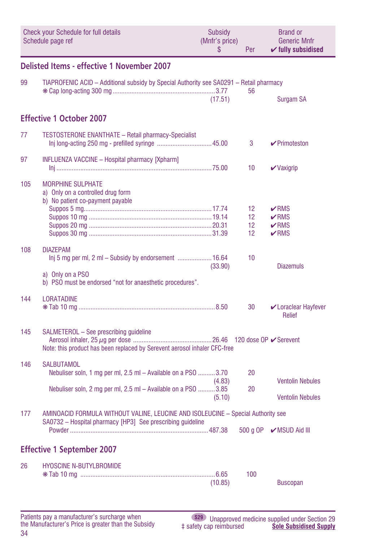<span id="page-33-0"></span>

|     | <b>Check your Schedule for full details</b><br>Schedule page ref                                                                               | <b>Subsidy</b><br>(Mnfr's price)<br>\$ | Per                                | <b>Brand or</b><br><b>Generic Mnfr</b><br>$\checkmark$ fully subsidised |
|-----|------------------------------------------------------------------------------------------------------------------------------------------------|----------------------------------------|------------------------------------|-------------------------------------------------------------------------|
|     | Delisted Items - effective 1 November 2007                                                                                                     |                                        |                                    |                                                                         |
| 99  | TIAPROFENIC ACID - Additional subsidy by Special Authority see SA0291 - Retail pharmacy                                                        |                                        | 56                                 |                                                                         |
|     |                                                                                                                                                | (17.51)                                |                                    | Surgam SA                                                               |
|     | <b>Effective 1 October 2007</b>                                                                                                                |                                        |                                    |                                                                         |
| 77  | TESTOSTERONE ENANTHATE - Retail pharmacy-Specialist                                                                                            |                                        | 3                                  | $\triangleright$ Primoteston                                            |
| 97  | INFLUENZA VACCINE - Hospital pharmacy [Xpharm]                                                                                                 |                                        | 10                                 | $\vee$ Vaxigrip                                                         |
| 105 | <b>MORPHINE SULPHATE</b><br>a) Only on a controlled drug form<br>b) No patient co-payment payable                                              |                                        |                                    |                                                                         |
|     |                                                                                                                                                |                                        | 12                                 | $\nu$ RMS                                                               |
|     |                                                                                                                                                |                                        | 12 <sup>2</sup>                    | $\nu$ RMS                                                               |
|     |                                                                                                                                                |                                        | 12 <sup>2</sup><br>12 <sup>2</sup> | $\nu$ RMS<br>$\nu$ RMS                                                  |
|     |                                                                                                                                                |                                        |                                    |                                                                         |
| 108 | <b>DIAZEPAM</b><br>lnj 5 mg per ml, 2 ml – Subsidy by endorsement  16.64                                                                       |                                        | 10                                 |                                                                         |
|     | a) Only on a PSO<br>b) PSO must be endorsed "not for anaesthetic procedures".                                                                  | (33.90)                                |                                    | <b>Diazemuls</b>                                                        |
| 144 | <b>LORATADINE</b>                                                                                                                              |                                        |                                    |                                                                         |
|     |                                                                                                                                                |                                        | 30                                 | Loraclear Hayfever<br><b>Relief</b>                                     |
| 145 | SALMETEROL - See prescribing guideline<br>Note: this product has been replaced by Serevent aerosol inhaler CFC-free                            |                                        |                                    |                                                                         |
| 146 | <b>SALBUTAMOL</b><br>Nebuliser soln, 1 mg per ml, 2.5 ml - Available on a PSO 3.70                                                             | (4.83)                                 | 20                                 | <b>Ventolin Nebules</b>                                                 |
|     | Nebuliser soln, 2 mg per ml, 2.5 ml - Available on a PSO 3.85                                                                                  | (5.10)                                 | 20                                 | <b>Ventolin Nebules</b>                                                 |
| 177 | AMINOACID FORMULA WITHOUT VALINE, LEUCINE AND ISOLEUCINE - Special Authority see<br>SA0732 - Hospital pharmacy [HP3] See prescribing guideline |                                        |                                    | 500 g OP  MSUD Aid III                                                  |
|     |                                                                                                                                                |                                        |                                    |                                                                         |
|     | <b>Effective 1 September 2007</b>                                                                                                              |                                        |                                    |                                                                         |
| 26  | <b>HYOSCINE N-BUTYLBROMIDE</b>                                                                                                                 |                                        |                                    |                                                                         |
|     |                                                                                                                                                | (10.85)                                | 100                                | <b>Buscopan</b>                                                         |
|     |                                                                                                                                                |                                        |                                    |                                                                         |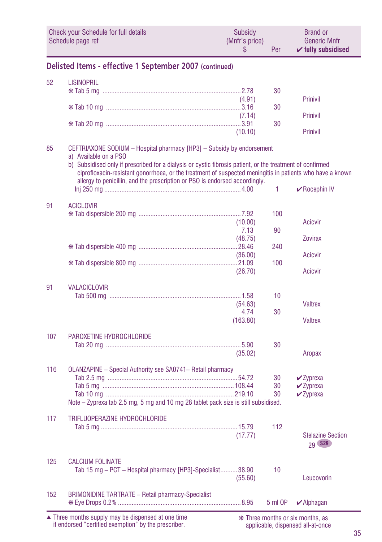<span id="page-34-0"></span>

|     | Check your Schedule for full details<br>Schedule page ref                                                                                                                                                                                                                                                                                                                                               | Subsidy<br>(Mnfr's price)<br>S | Per       | <b>Brand or</b><br><b>Generic Mnfr</b><br>$\checkmark$ fully subsidised |
|-----|---------------------------------------------------------------------------------------------------------------------------------------------------------------------------------------------------------------------------------------------------------------------------------------------------------------------------------------------------------------------------------------------------------|--------------------------------|-----------|-------------------------------------------------------------------------|
|     | Delisted Items - effective 1 September 2007 (continued)                                                                                                                                                                                                                                                                                                                                                 |                                |           |                                                                         |
| 52  | <b>LISINOPRIL</b>                                                                                                                                                                                                                                                                                                                                                                                       |                                | 30        |                                                                         |
|     |                                                                                                                                                                                                                                                                                                                                                                                                         | (4.91)                         | 30        | Prinivil                                                                |
|     |                                                                                                                                                                                                                                                                                                                                                                                                         | (7.14)                         | 30        | Prinivil                                                                |
|     |                                                                                                                                                                                                                                                                                                                                                                                                         | (10.10)                        |           | Prinivil                                                                |
| 85  | CEFTRIAXONE SODIUM - Hospital pharmacy [HP3] - Subsidy by endorsement<br>a) Available on a PSO<br>b) Subsidised only if prescribed for a dialysis or cystic fibrosis patient, or the treatment of confirmed<br>ciprofloxacin-resistant gonorrhoea, or the treatment of suspected meningitis in patients who have a known<br>allergy to penicillin, and the prescription or PSO is endorsed accordingly. |                                | 1         | $\vee$ Rocephin IV                                                      |
| 91  | <b>ACICLOVIR</b>                                                                                                                                                                                                                                                                                                                                                                                        |                                |           |                                                                         |
|     |                                                                                                                                                                                                                                                                                                                                                                                                         | (10.00)<br>7.13                | 100<br>90 | Acicvir                                                                 |
|     |                                                                                                                                                                                                                                                                                                                                                                                                         | (48.75)                        | 240       | <b>Zovirax</b>                                                          |
|     |                                                                                                                                                                                                                                                                                                                                                                                                         | (36.00)                        | 100       | Acicvir                                                                 |
|     |                                                                                                                                                                                                                                                                                                                                                                                                         | (26.70)                        |           | Acicvir                                                                 |
| 91  | <b>VALACICLOVIR</b>                                                                                                                                                                                                                                                                                                                                                                                     | (54.63)<br>4.74                | 10<br>30  | Valtrex                                                                 |
|     |                                                                                                                                                                                                                                                                                                                                                                                                         | (163.80)                       |           | Valtrex                                                                 |
| 107 | PAROXETINE HYDROCHLORIDE                                                                                                                                                                                                                                                                                                                                                                                | (35.02)                        | 30        | Aropax                                                                  |
| 116 | OLANZAPINE - Special Authority see SA0741- Retail pharmacy                                                                                                                                                                                                                                                                                                                                              |                                |           |                                                                         |
|     |                                                                                                                                                                                                                                                                                                                                                                                                         |                                | 30<br>30  | $\boldsymbol{\nu}$ Zyprexa<br>$\mathbf{v}$ Zyprexa                      |
|     | Note - Zyprexa tab 2.5 mg, 5 mg and 10 mg 28 tablet pack size is still subsidised.                                                                                                                                                                                                                                                                                                                      |                                | 30        | $\vee$ Zyprexa                                                          |
| 117 | TRIFLUOPERAZINE HYDROCHLORIDE                                                                                                                                                                                                                                                                                                                                                                           | (17.77)                        | 112       | <b>Stelazine Section</b><br>29 S29                                      |
| 125 | <b>CALCIUM FOLINATE</b><br>Tab 15 mg - PCT - Hospital pharmacy [HP3]-Specialist38.90                                                                                                                                                                                                                                                                                                                    | (55.60)                        | 10        | Leucovorin                                                              |
| 152 | <b>BRIMONIDINE TARTRATE - Retail pharmacy-Specialist</b>                                                                                                                                                                                                                                                                                                                                                |                                | 5 ml OP   | $\blacktriangleright$ Alphagan                                          |

applicable, dispensed all-at-once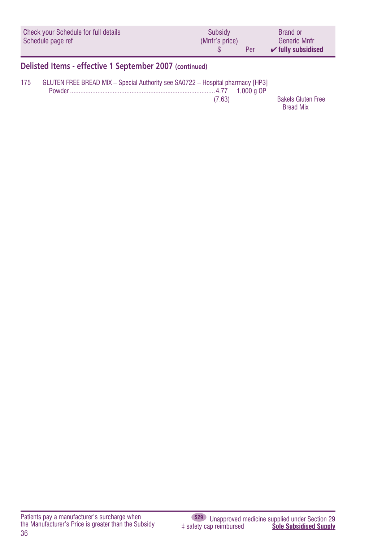<span id="page-35-0"></span>

|     | Check your Schedule for full details<br>Schedule page ref                      | Subsidy<br>(Mnfr's price)<br>$\mathbf{\hat{s}}$ | Per          | <b>Brand or</b><br><b>Generic Mnfr</b><br>$\checkmark$ fully subsidised |
|-----|--------------------------------------------------------------------------------|-------------------------------------------------|--------------|-------------------------------------------------------------------------|
|     | Delisted Items - effective 1 September 2007 (continued)                        |                                                 |              |                                                                         |
| 175 | GLUTEN FREE BREAD MIX - Special Authority see SA0722 - Hospital pharmacy [HP3] | (7.63)                                          | 1.000 $a$ OP | <b>Bakels Gluten Free</b><br><b>Bread Mix</b>                           |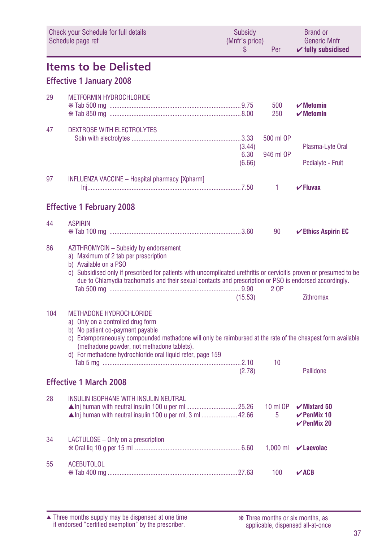<span id="page-36-0"></span>

|     | <b>Check your Schedule for full details</b><br>Schedule page ref                                                                                                                                                                                                                                                                        | <b>Subsidy</b><br>(Mnfr's price)<br>S | Per                      | <b>Brand or</b><br><b>Generic Mnfr</b><br>$\checkmark$ fully subsidised |
|-----|-----------------------------------------------------------------------------------------------------------------------------------------------------------------------------------------------------------------------------------------------------------------------------------------------------------------------------------------|---------------------------------------|--------------------------|-------------------------------------------------------------------------|
|     | <b>Items to be Delisted</b>                                                                                                                                                                                                                                                                                                             |                                       |                          |                                                                         |
|     | <b>Effective 1 January 2008</b>                                                                                                                                                                                                                                                                                                         |                                       |                          |                                                                         |
| 29  | <b>METFORMIN HYDROCHLORIDE</b>                                                                                                                                                                                                                                                                                                          |                                       | 500<br>250               | $\boldsymbol{\checkmark}$ Metomin<br>$\boldsymbol{\nu}$ Metomin         |
| 47  | <b>DEXTROSE WITH ELECTROLYTES</b>                                                                                                                                                                                                                                                                                                       | (3.44)<br>6.30<br>(6.66)              | 500 ml OP<br>946 ml OP   | Plasma-Lyte Oral<br>Pedialyte - Fruit                                   |
| 97  | <b>INFLUENZA VACCINE - Hospital pharmacy [Xpharm]</b>                                                                                                                                                                                                                                                                                   |                                       | 1                        | $\checkmark$ Fluvax                                                     |
|     | <b>Effective 1 February 2008</b>                                                                                                                                                                                                                                                                                                        |                                       |                          |                                                                         |
| 44  | <b>ASPIRIN</b>                                                                                                                                                                                                                                                                                                                          |                                       | 90                       | $\checkmark$ Ethics Aspirin EC                                          |
| 86  | AZITHROMYCIN - Subsidy by endorsement<br>a) Maximum of 2 tab per prescription<br>b) Available on a PSO<br>c) Subsidised only if prescribed for patients with uncomplicated urethritis or cervicitis proven or presumed to be<br>due to Chlamydia trachomatis and their sexual contacts and prescription or PSO is endorsed accordingly. | (15.53)                               | 2 OP                     | Zithromax                                                               |
| 104 | <b>METHADONE HYDROCHLORIDE</b><br>a) Only on a controlled drug form<br>b) No patient co-payment payable<br>c) Extemporaneously compounded methadone will only be reimbursed at the rate of the cheapest form available<br>(methadone powder, not methadone tablets).<br>d) For methadone hydrochloride oral liquid refer, page 159      | (2.78)                                | 10                       | Pallidone                                                               |
|     | <b>Effective 1 March 2008</b>                                                                                                                                                                                                                                                                                                           |                                       |                          |                                                                         |
| 28  | <b>INSULIN ISOPHANE WITH INSULIN NEUTRAL</b><br>▲ Inj human with neutral insulin 100 u per ml, 3 ml 42.66                                                                                                                                                                                                                               |                                       | $10 \text{ ml }$ OP<br>5 | $\mathbf{v}$ Mixtard 50<br>$\checkmark$ PenMix 10<br>$\vee$ PenMix 20   |
| 34  | LACTULOSE - Only on a prescription                                                                                                                                                                                                                                                                                                      |                                       |                          | 1.000 ml $\mathcal{V}$ Laevolac                                         |
| 55  | <b>ACEBUTOLOL</b>                                                                                                                                                                                                                                                                                                                       |                                       | 100                      | $\vee$ ACB                                                              |

applicable, dispensed all-at-once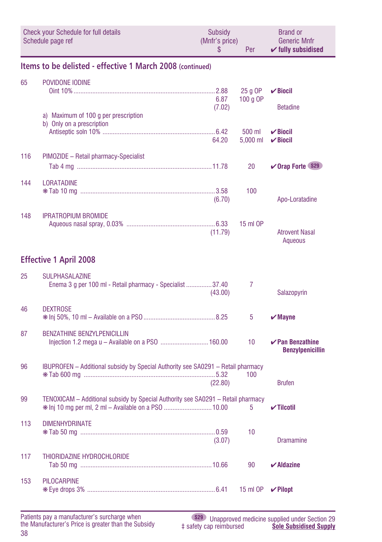<span id="page-37-0"></span>

|     | <b>Check your Schedule for full details</b><br>Schedule page ref                                                                        | Subsidy<br>(Mnfr's price)<br>\$ | Per                 | <b>Brand or</b><br><b>Generic Mnfr</b><br>$\checkmark$ fully subsidised |
|-----|-----------------------------------------------------------------------------------------------------------------------------------------|---------------------------------|---------------------|-------------------------------------------------------------------------|
|     | Items to be delisted - effective 1 March 2008 (continued)                                                                               |                                 |                     |                                                                         |
| 65  | POVIDONE IODINE                                                                                                                         | 6.87<br>(7.02)                  | 25 g OP<br>100 g OP | $\sqrt{B}$ iocil<br><b>Betadine</b>                                     |
|     | a) Maximum of 100 g per prescription<br>b) Only on a prescription                                                                       | 64.20                           | 500 ml<br>5,000 ml  | $\vee$ Biocil<br>$\checkmark$ Biocil                                    |
| 116 | PIMOZIDE - Retail pharmacy-Specialist                                                                                                   |                                 | 20                  | <b>√Orap Forte (S29)</b>                                                |
| 144 | <b>LORATADINE</b>                                                                                                                       | (6.70)                          | 100                 | Apo-Loratadine                                                          |
| 148 | <b>IPRATROPIUM BROMIDE</b>                                                                                                              | (11.79)                         | 15 ml OP            | <b>Atrovent Nasal</b><br>Aqueous                                        |
|     | <b>Effective 1 April 2008</b>                                                                                                           |                                 |                     |                                                                         |
| 25  | <b>SULPHASALAZINE</b><br>Enema 3 g per 100 ml - Retail pharmacy - Specialist 37.40                                                      | (43.00)                         | 7                   | Salazopyrin                                                             |
| 46  | <b>DEXTROSE</b>                                                                                                                         |                                 | 5                   | $\boldsymbol{\mathsf{v}}$ Mayne                                         |
| 87  | <b>BENZATHINE BENZYLPENICILLIN</b><br>Injection 1.2 mega u - Available on a PSO  160.00                                                 |                                 | 10 <sup>1</sup>     | $\vee$ Pan Benzathine<br><b>Benzylpenicillin</b>                        |
| 96  | IBUPROFEN - Additional subsidy by Special Authority see SA0291 - Retail pharmacy                                                        | (22.80)                         | 100                 | <b>Brufen</b>                                                           |
| 99  | TENOXICAM - Additional subsidy by Special Authority see SA0291 - Retail pharmacy<br>* Inj 10 mg per ml, 2 ml - Available on a PSO 10.00 |                                 | 5                   | $\checkmark$ Tilcotil                                                   |
| 113 | <b>DIMENHYDRINATE</b>                                                                                                                   | (3.07)                          | 10                  | <b>Dramamine</b>                                                        |
| 117 | THIORIDAZINE HYDROCHLORIDE                                                                                                              |                                 | 90                  | $\boldsymbol{\checkmark}$ Aldazine                                      |
| 153 | <b>PILOCARPINE</b>                                                                                                                      |                                 | 15 ml OP            | $V$ Pilopt                                                              |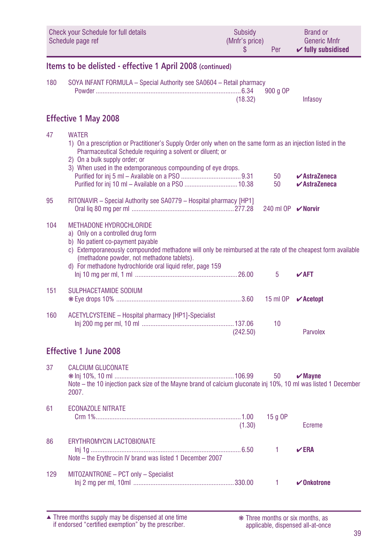<span id="page-38-0"></span>

|     | Check your Schedule for full details<br>Schedule page ref                                                                                                                                                                                                                                                                          | Subsidy<br>(Mnfr's price)<br>\$ | Per               | <b>Brand or</b><br><b>Generic Mnfr</b><br>$\checkmark$ fully subsidised        |
|-----|------------------------------------------------------------------------------------------------------------------------------------------------------------------------------------------------------------------------------------------------------------------------------------------------------------------------------------|---------------------------------|-------------------|--------------------------------------------------------------------------------|
|     | Items to be delisted - effective 1 April 2008 (continued)                                                                                                                                                                                                                                                                          |                                 |                   |                                                                                |
| 180 | SOYA INFANT FORMULA - Special Authority see SA0604 - Retail pharmacy                                                                                                                                                                                                                                                               | (18.32)                         | 900 g OP          | Infasoy                                                                        |
|     | <b>Effective 1 May 2008</b>                                                                                                                                                                                                                                                                                                        |                                 |                   |                                                                                |
| 47  | <b>WATER</b><br>1) On a prescription or Practitioner's Supply Order only when on the same form as an injection listed in the<br>Pharmaceutical Schedule requiring a solvent or diluent; or<br>2) On a bulk supply order; or<br>3) When used in the extemporaneous compounding of eye drops.                                        |                                 | 50<br>50          | $\boldsymbol{\checkmark}$ AstraZeneca<br>$\boldsymbol{\checkmark}$ AstraZeneca |
| 95  | RITONAVIR - Special Authority see SA0779 - Hospital pharmacy [HP1]                                                                                                                                                                                                                                                                 |                                 | 240 ml OP  Morvir |                                                                                |
| 104 | <b>METHADONE HYDROCHLORIDE</b><br>a) Only on a controlled drug form<br>b) No patient co-payment payable<br>c) Extemporaneously compounded methadone will only be reimbursed at the rate of the cheapest form available<br>(methadone powder, not methadone tablets).<br>d) For methadone hydrochloride oral liquid refer, page 159 |                                 | 5                 | $\mathbf{V}$ AFT                                                               |
| 151 | SULPHACETAMIDE SODIUM                                                                                                                                                                                                                                                                                                              |                                 | 15 ml OP          | $\mathbf v$ Acetopt                                                            |
| 160 | ACETYLCYSTEINE - Hospital pharmacy [HP1]-Specialist                                                                                                                                                                                                                                                                                | (242.50)                        | 10                | Parvolex                                                                       |
|     | <b>Effective 1 June 2008</b>                                                                                                                                                                                                                                                                                                       |                                 |                   |                                                                                |
| 37  | <b>CALCIUM GLUCONATE</b><br>Note – the 10 injection pack size of the Mayne brand of calcium gluconate inj 10%, 10 ml was listed 1 December<br>2007.                                                                                                                                                                                |                                 | 50                | $\boldsymbol{\checkmark}$ Mayne                                                |
| 61  | <b>ECONAZOLE NITRATE</b>                                                                                                                                                                                                                                                                                                           | (1.30)                          | 15 g OP           | <b>Ecreme</b>                                                                  |
| 86  | <b>ERYTHROMYCIN LACTOBIONATE</b><br>Note - the Erythrocin IV brand was listed 1 December 2007                                                                                                                                                                                                                                      |                                 | $\mathbf{1}$      | $\vee$ ERA                                                                     |
| 129 | MITOZANTRONE - PCT only - Specialist                                                                                                                                                                                                                                                                                               |                                 | $\mathbf{1}$      | $\boldsymbol{\mathcal{C}}$ Onkotrone                                           |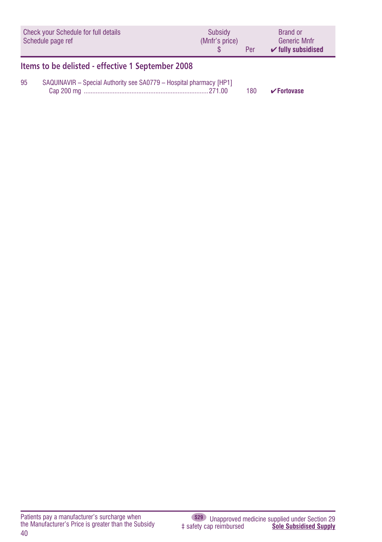<span id="page-39-0"></span>

| Check your Schedule for full details<br>Schedule page ref                 |                                                   | Subsidy<br>(Mnfr's price) | Per | <b>Brand or</b><br><b>Generic Mnfr</b><br>$\checkmark$ fully subsidised |  |  |
|---------------------------------------------------------------------------|---------------------------------------------------|---------------------------|-----|-------------------------------------------------------------------------|--|--|
|                                                                           | Items to be delisted - effective 1 September 2008 |                           |     |                                                                         |  |  |
| 95<br>SAQUINAVIR - Special Authority see SA0779 - Hospital pharmacy [HP1] |                                                   |                           |     |                                                                         |  |  |

| 0.00<br>Cap 200 mg<br>180 | $\vee$ Fortovase |
|---------------------------|------------------|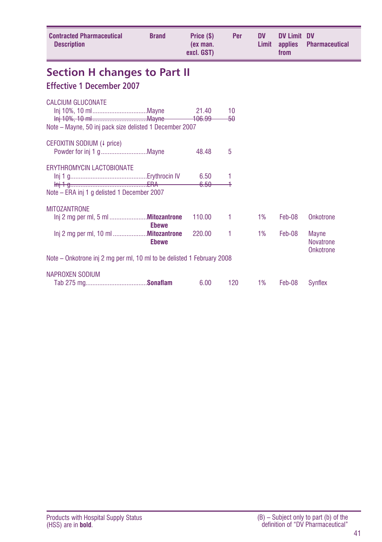<span id="page-40-0"></span>

| <b>Contracted Pharmaceutical</b><br><b>Description</b>                          | <b>Brand</b>                 | Price (\$)<br>(ex man.<br>excl. GST) | Per       | <b>DV</b><br>Limit | <b>DV Limit DV</b><br>applies<br>from | <b>Pharmaceutical</b>                         |
|---------------------------------------------------------------------------------|------------------------------|--------------------------------------|-----------|--------------------|---------------------------------------|-----------------------------------------------|
| <b>Section H changes to Part II</b><br><b>Effective 1 December 2007</b>         |                              |                                      |           |                    |                                       |                                               |
| CALCIUM GLUCONATE<br>Note – Mayne, 50 inj pack size delisted 1 December 2007    |                              | 21.40<br>106.99                      | 10<br>-50 |                    |                                       |                                               |
| CEFOXITIN SODIUM (4 price)                                                      |                              | 48.48                                | 5         |                    |                                       |                                               |
| <b>FRYTHROMYCIN LACTOBIONATE</b><br>Note – ERA inj 1 g delisted 1 December 2007 |                              | 6.50<br>6.50                         | 1         |                    |                                       |                                               |
| <b>MITOZANTRONE</b>                                                             |                              |                                      |           |                    |                                       |                                               |
|                                                                                 | <b>Ebewe</b><br><b>Ebewe</b> | 110.00<br>220.00                     | 1<br>1    | 1%<br>1%           | Feb-08<br>Feb-08                      | Onkotrone<br><b>Mayne</b><br><b>Novatrone</b> |
| Note – Onkotrone inj 2 mg per ml, 10 ml to be delisted 1 February 2008          |                              |                                      |           |                    |                                       | Onkotrone                                     |
| NAPROXEN SODIUM                                                                 |                              | 6.00                                 | 120       | 1%                 | Feb-08                                | Synflex                                       |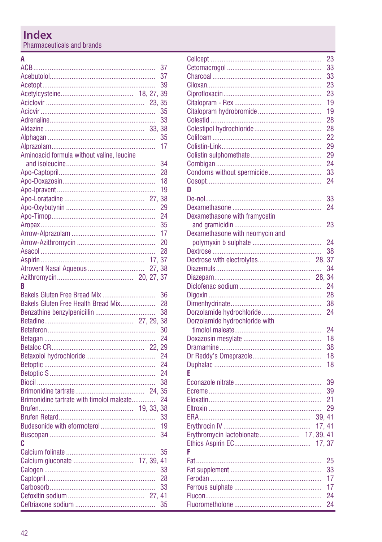# <span id="page-41-0"></span>Index

Pharmaceuticals and brands

## $\overline{A}$

|                                           |         | 37 |
|-------------------------------------------|---------|----|
|                                           |         | 37 |
|                                           |         | 39 |
|                                           |         | 39 |
|                                           | 23.     | 35 |
|                                           |         | 35 |
|                                           |         | 33 |
|                                           |         | 38 |
|                                           |         | 35 |
|                                           |         |    |
|                                           |         | 17 |
| Aminoacid formula without valine, leucine |         |    |
|                                           |         | 34 |
|                                           |         | 28 |
|                                           |         | 18 |
|                                           |         | 19 |
|                                           |         | 38 |
|                                           |         | 29 |
|                                           |         | 24 |
|                                           |         | 35 |
|                                           |         | 17 |
|                                           |         | 20 |
|                                           |         |    |
|                                           |         | 28 |
|                                           | 17.     | 37 |
| Atrovent Nasal Aqueous                    | 27,38   |    |
|                                           |         |    |
| R                                         |         |    |
|                                           |         |    |
| Bakels Gluten Free Bread Mix              |         | 36 |
| Bakels Gluten Free Health Bread Mix       |         | 28 |
|                                           |         | 38 |
|                                           |         |    |
|                                           |         | 38 |
|                                           |         | 30 |
|                                           |         | 24 |
|                                           |         | 29 |
|                                           |         | 24 |
|                                           |         | 24 |
|                                           |         | 24 |
|                                           |         | 38 |
|                                           |         | 35 |
| Brimonidine tartrate with timolol maleate |         | 24 |
|                                           | 19, 33, | 38 |
|                                           |         | 33 |
|                                           |         | 19 |
| Budesonide with eformoterol               |         |    |
|                                           |         | 34 |
| C                                         |         |    |
|                                           |         | 35 |
|                                           |         | 41 |
|                                           |         | 33 |
|                                           |         | 28 |
|                                           |         | 33 |
|                                           |         | 35 |

|                                         | 23 |
|-----------------------------------------|----|
|                                         | 33 |
|                                         | 33 |
|                                         | 23 |
|                                         | 23 |
|                                         | 19 |
|                                         | 19 |
|                                         | 28 |
|                                         | 28 |
|                                         | 22 |
|                                         | 29 |
|                                         | 29 |
|                                         | 24 |
| Condoms without spermicide              | 33 |
|                                         | 24 |
| D                                       |    |
|                                         | 33 |
|                                         | 24 |
| Dexamethasone with framycetin           |    |
|                                         | 23 |
| Dexamethasone with neomycin and         |    |
|                                         | 24 |
|                                         | 38 |
| Dextrose with electrolytes 28, 37       |    |
|                                         | 34 |
|                                         | 34 |
|                                         | 24 |
|                                         | 28 |
|                                         | 38 |
| Dorzolamide hydrochloride               | 24 |
| Dorzolamide hydrochloride with          |    |
|                                         | 24 |
|                                         | 18 |
|                                         | 38 |
|                                         | 18 |
|                                         | 18 |
| E                                       |    |
|                                         | 39 |
|                                         | 39 |
|                                         | 21 |
|                                         | 29 |
| 39.41                                   |    |
| 17, 41                                  |    |
| 17, 39, 41<br>Erythromycin lactobionate |    |
| 17.37                                   |    |
| F                                       |    |
|                                         | 25 |
|                                         | 33 |
|                                         | 17 |
|                                         | 17 |
|                                         | 24 |
|                                         | 24 |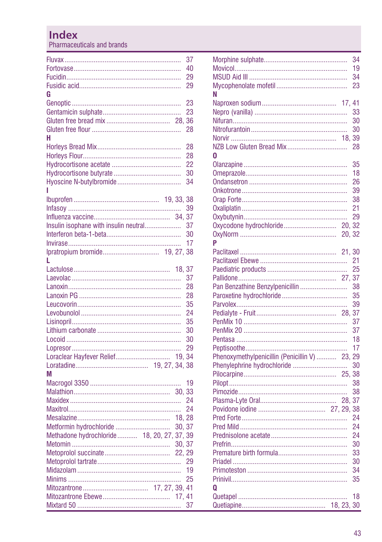## **Index**

Pharmaceuticals and brands

|                                             |        | 37 |
|---------------------------------------------|--------|----|
|                                             |        | 40 |
|                                             |        | 29 |
|                                             |        | 29 |
| G                                           |        |    |
|                                             |        |    |
|                                             |        | 23 |
|                                             |        | 23 |
|                                             |        |    |
|                                             |        | 28 |
| н                                           |        |    |
|                                             |        | 28 |
|                                             |        | 28 |
|                                             |        | 22 |
|                                             |        | 30 |
|                                             |        | 34 |
| I                                           |        |    |
|                                             |        |    |
|                                             |        | 39 |
|                                             |        |    |
| Insulin isophane with insulin neutral       |        | 37 |
|                                             |        |    |
|                                             |        | 30 |
|                                             |        | 17 |
|                                             |        |    |
| L                                           |        |    |
|                                             |        |    |
|                                             |        | 37 |
|                                             |        | 28 |
|                                             |        | 28 |
|                                             |        | 35 |
|                                             |        | 24 |
|                                             |        | 35 |
|                                             |        | 30 |
|                                             |        | 30 |
|                                             |        | 29 |
| Loraclear Hayfever Relief 19, 34            |        |    |
|                                             |        |    |
|                                             |        |    |
| M                                           |        |    |
|                                             |        | 19 |
|                                             |        |    |
|                                             |        | 24 |
|                                             |        | 24 |
|                                             | 18, 28 |    |
| Metformin hydrochloride                     | 30, 37 |    |
| Methadone hydrochloride  18, 20, 27, 37, 39 |        |    |
|                                             | 30, 37 |    |
|                                             |        |    |
|                                             |        | 29 |
|                                             |        | 19 |
|                                             |        | 25 |
|                                             |        |    |
|                                             | 17, 41 |    |
|                                             |        | 37 |
|                                             |        |    |

|                                             |         | 34 |
|---------------------------------------------|---------|----|
|                                             |         | 19 |
|                                             |         | 34 |
|                                             |         | 23 |
| Ν                                           |         |    |
|                                             | 17, 41  |    |
|                                             |         | 33 |
|                                             |         | 30 |
|                                             |         | 30 |
|                                             | 18, 39  |    |
|                                             |         | 28 |
| 0                                           |         |    |
|                                             |         | 35 |
|                                             |         | 18 |
|                                             |         | 26 |
|                                             |         | 39 |
|                                             |         | 38 |
|                                             |         | 21 |
|                                             |         | 29 |
|                                             | 20, 32  |    |
|                                             | 20.32   |    |
| P                                           |         |    |
|                                             | 21, 30  |    |
|                                             |         | 21 |
|                                             |         | 25 |
|                                             |         |    |
| Pan Benzathine Benzylpenicillin             |         | 38 |
|                                             |         | 35 |
|                                             |         | 39 |
|                                             | 28, 37  |    |
|                                             |         | 37 |
|                                             |         | 37 |
|                                             |         | 18 |
|                                             |         | 17 |
| Phenoxymethylpenicillin (Penicillin V)  23, |         | 29 |
| Phenylephrine hydrochloride                 |         | 30 |
|                                             |         | 38 |
|                                             |         | 38 |
|                                             |         | 38 |
|                                             |         | 37 |
|                                             |         | 38 |
|                                             |         | 24 |
|                                             |         | 24 |
|                                             |         | 24 |
|                                             |         | 30 |
|                                             |         | 33 |
|                                             |         | 30 |
|                                             |         | 34 |
|                                             |         | 35 |
| Ω                                           |         |    |
|                                             |         | 18 |
|                                             | 18, 23, | 30 |
|                                             |         |    |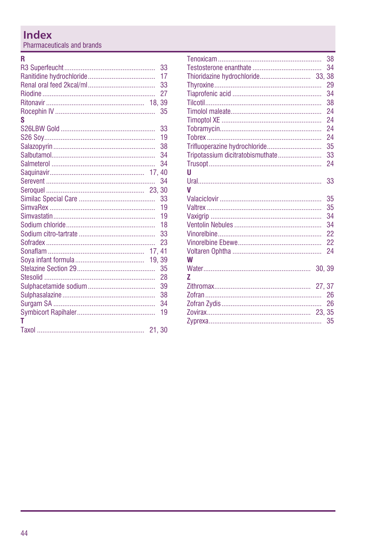# Index

Pharmaceuticals and brands

#### $\overline{\mathsf{R}}$

|   | 33 |
|---|----|
|   | 17 |
|   | 33 |
|   | 27 |
|   |    |
|   | 35 |
| S |    |
|   | 33 |
|   | 19 |
|   | 38 |
|   | 34 |
|   | 34 |
|   |    |
|   | 34 |
|   |    |
|   | 33 |
|   | 19 |
|   | 19 |
|   | 18 |
|   | 33 |
|   | 23 |
|   |    |
|   |    |
|   | 35 |
|   | 28 |
|   | 39 |
|   | 38 |
|   | 34 |
|   | 19 |
| т |    |
|   |    |
|   |    |

|                                  |       | 38 |
|----------------------------------|-------|----|
|                                  |       | 34 |
|                                  |       |    |
|                                  |       | 29 |
|                                  |       | 34 |
|                                  |       | 38 |
|                                  |       | 24 |
|                                  |       | 24 |
|                                  |       | 24 |
|                                  |       | 24 |
| Trifluoperazine hydrochloride    |       | 35 |
| Tripotassium dicitratobismuthate |       | 33 |
|                                  |       | 24 |
| U                                |       |    |
|                                  |       | 33 |
| V                                |       |    |
|                                  |       | 35 |
|                                  |       | 35 |
|                                  |       | 34 |
|                                  |       | 34 |
|                                  |       | 22 |
|                                  |       | 22 |
|                                  |       | 24 |
| W                                |       |    |
|                                  | 30.39 |    |
| 7                                |       |    |
|                                  |       |    |
|                                  |       | 26 |
|                                  |       | 26 |
|                                  |       |    |
|                                  |       | 35 |
|                                  |       |    |